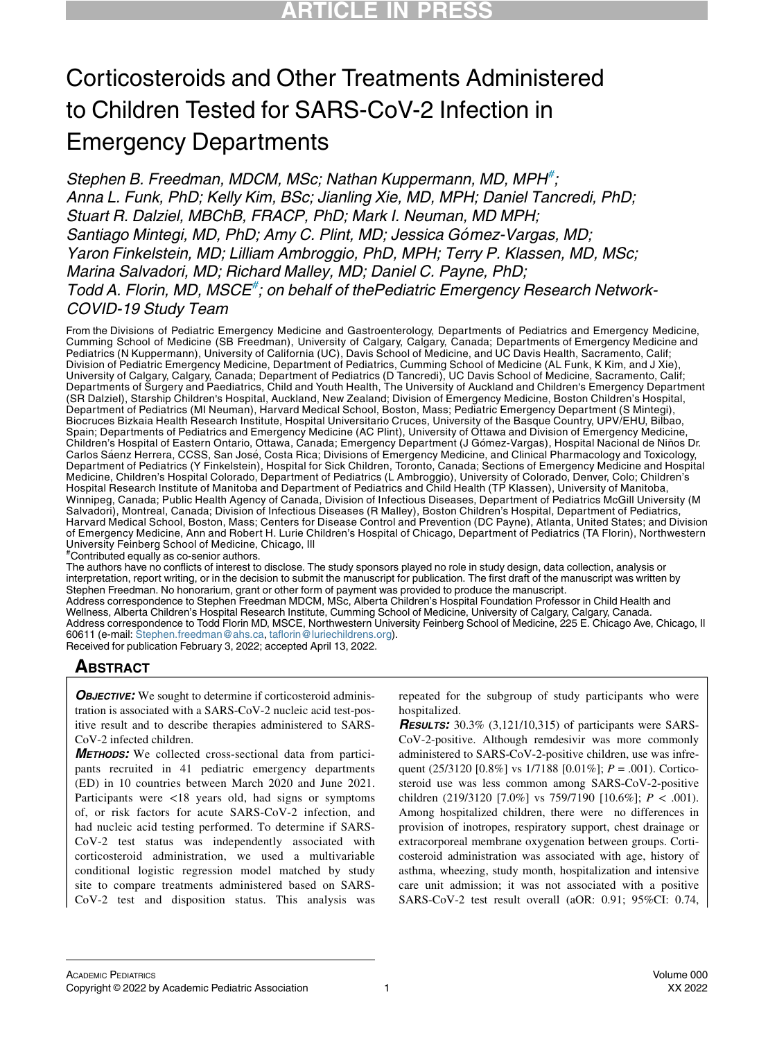# Corticosteroids and Other Treatments Administered to Children Tested for SARS-CoV-2 Infection in Emergency Departments

Stephen B. Freedman, MDCM, MSc; Nathan Kuppermann, MD, MPH<sup>[#](#page-0-0)</sup>, Anna L. Funk, PhD; Kelly Kim, BSc; Jianling Xie, MD, MPH; Daniel Tancredi, PhD; Stuart R. Dalziel, MBChB, FRACP, PhD; Mark I. Neuman, MD MPH; Santiago Mintegi, MD, PhD; Amy C. Plint, MD; Jessica Gómez-Vargas, MD; Yaron Finkelstein, MD; Lilliam Ambroggio, PhD, MPH; Terry P. Klassen, MD, MSc; Marina Salvadori, MD; Richard Malley, MD; Daniel C. Payne, PhD; Todd A. Florin, MD, MSCE<sup>[#](#page-0-0)</sup>; on behalf of thePediatric Emergency Research Network-COVID-19 Study Team

From the Divisions of Pediatric Emergency Medicine and Gastroenterology, Departments of Pediatrics and Emergency Medicine, Cumming School of Medicine (SB Freedman), University of Calgary, Calgary, Canada; Departments of Emergency Medicine and Pediatrics (N Kuppermann), University of California (UC), Davis School of Medicine, and UC Davis Health, Sacramento, Calif; Division of Pediatric Emergency Medicine, Department of Pediatrics, Cumming School of Medicine (AL Funk, K Kim, and J Xie), University of Calgary, Calgary, Canada; Department of Pediatrics (D Tancredi), UC Davis School of Medicine, Sacramento, Calif; Departments of Surgery and Paediatrics, Child and Youth Health, The University of Auckland and Children's Emergency Department (SR Dalziel), Starship Children's Hospital, Auckland, New Zealand; Division of Emergency Medicine, Boston Children's Hospital, Department of Pediatrics (MI Neuman), Harvard Medical School, Boston, Mass; Pediatric Emergency Department (S Mintegi), Biocruces Bizkaia Health Research Institute, Hospital Universitario Cruces, University of the Basque Country, UPV/EHU, Bilbao, Spain; Departments of Pediatrics and Emergency Medicine (AC Plint), University of Ottawa and Division of Emergency Medicine,<br>Children's Hospital of Eastern Ontario, Ottawa, Canada; Emergency Department (J Gómez-Vargas), Ho Carlos Sáenz Herrera, CCSS, San José, Costa Rica; Divisions of Emergency Medicine, and Clinical Pharmacology and Toxicology, Department of Pediatrics (Y Finkelstein), Hospital for Sick Children, Toronto, Canada; Sections of Emergency Medicine and Hospital Medicine, Children's Hospital Colorado, Department of Pediatrics (L Ambroggio), University of Colorado, Denver, Colo; Children's Hospital Research Institute of Manitoba and Department of Pediatrics and Child Health (TP Klassen), University of Manitoba, Winnipeg, Canada; Public Health Agency of Canada, Division of Infectious Diseases, Department of Pediatrics McGill University (M Salvadori), Montreal, Canada; Division of Infectious Diseases (R Malley), Boston Children's Hospital, Department of Pediatrics, Harvard Medical School, Boston, Mass; Centers for Disease Control and Prevention (DC Payne), Atlanta, United States; and Division of Emergency Medicine, Ann and Robert H. Lurie Children's Hospital of Chicago, Department of Pediatrics (TA Florin), Northwestern University Feinberg School of Medicine, Chicago, Ill

<span id="page-0-0"></span># Contributed equally as co-senior authors.

The authors have no conflicts of interest to disclose. The study sponsors played no role in study design, data collection, analysis or interpretation, report writing, or in the decision to submit the manuscript for publication. The first draft of the manuscript was written by Stephen Freedman. No honorarium, grant or other form of payment was provided to produce the manuscript. Address correspondence to Stephen Freedman MDCM, MSc, Alberta Children's Hospital Foundation Professor in Child Health and Wellness, Alberta Children's Hospital Research Institute, Cumming School of Medicine, University of Calgary, Calgary, Canada. Address correspondence to Todd Florin MD, MSCE, Northwestern University Feinberg School of Medicine, 225 E. Chicago Ave, Chicago, Il 60611 (e-mail: [Stephen.freedman@ahs.ca,](mailto:Stephen.freedman@ahs.ca) [taflorin@luriechildrens.org\)](mailto:taflorin@luriechildrens.org). Received for publication February 3, 2022; accepted April 13, 2022.

### **ABSTRACT**

**OBJECTIVE:** We sought to determine if corticosteroid administration is associated with a SARS-CoV-2 nucleic acid test-positive result and to describe therapies administered to SARS-CoV-2 infected children.

METHODS: We collected cross-sectional data from participants recruited in 41 pediatric emergency departments (ED) in 10 countries between March 2020 and June 2021. Participants were <18 years old, had signs or symptoms of, or risk factors for acute SARS-CoV-2 infection, and had nucleic acid testing performed. To determine if SARS-CoV-2 test status was independently associated with corticosteroid administration, we used a multivariable conditional logistic regression model matched by study site to compare treatments administered based on SARS-CoV-2 test and disposition status. This analysis was repeated for the subgroup of study participants who were hospitalized.

**RESULTS:** 30.3% (3,121/10,315) of participants were SARS-CoV-2-positive. Although remdesivir was more commonly administered to SARS-CoV-2-positive children, use was infrequent (25/3120 [0.8%] vs 1/7188 [0.01%];  $P = .001$ ). Corticosteroid use was less common among SARS-CoV-2-positive children (219/3120 [7.0%] vs 759/7190 [10.6%];  $P < .001$ ). Among hospitalized children, there were no differences in provision of inotropes, respiratory support, chest drainage or extracorporeal membrane oxygenation between groups. Corticosteroid administration was associated with age, history of asthma, wheezing, study month, hospitalization and intensive care unit admission; it was not associated with a positive SARS-CoV-2 test result overall (aOR: 0.91; 95%CI: 0.74,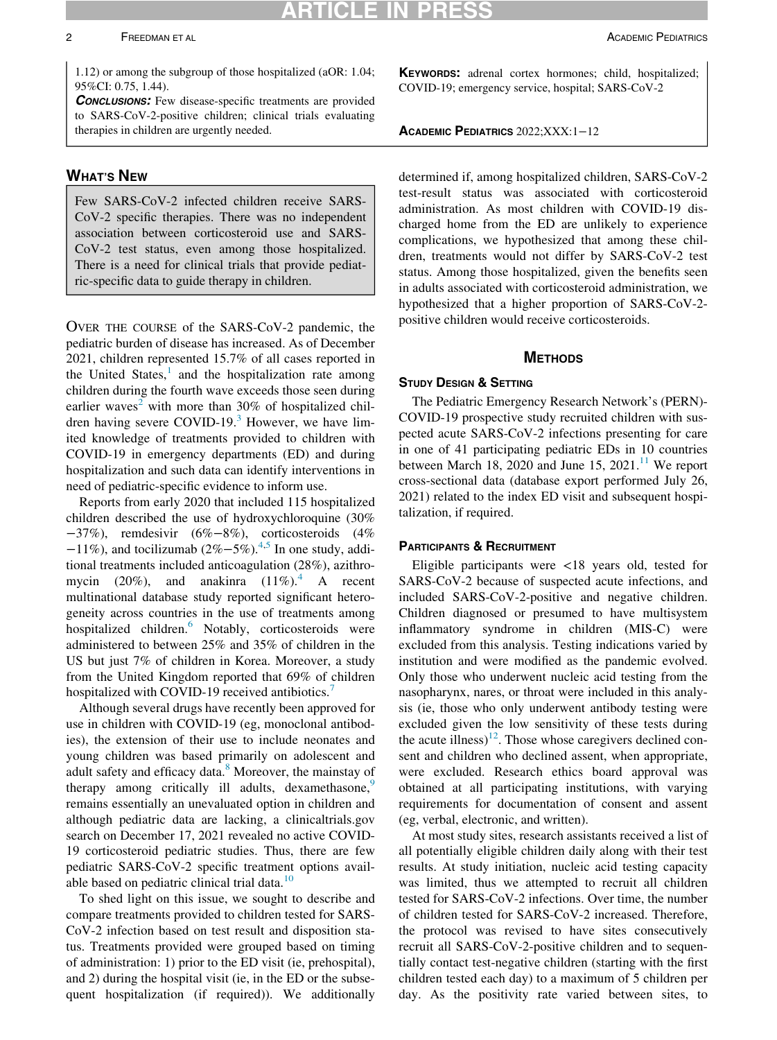1.12) or among the subgroup of those hospitalized (aOR: 1.04; 95%CI: 0.75, 1.44).

**CONCLUSIONS:** Few disease-specific treatments are provided to SARS-CoV-2-positive children; clinical trials evaluating therapies in children are urgently needed.

### WHAT'S NEW

Few SARS-CoV-2 infected children receive SARS-CoV-2 specific therapies. There was no independent association between corticosteroid use and SARS-CoV-2 test status, even among those hospitalized. There is a need for clinical trials that provide pediatric-specific data to guide therapy in children.

OVER THE COURSE of the SARS-CoV-2 pandemic, the pediatric burden of disease has increased. As of December 2021, children represented 15.7% of all cases reported in the United States, $\frac{1}{x}$  $\frac{1}{x}$  $\frac{1}{x}$  and the hospitalization rate among children during the fourth wave exceeds those seen during earlier waves<sup>[2](#page-10-1)</sup> with more than 30% of hospitalized children having severe COVID-19. $3$  However, we have limited knowledge of treatments provided to children with COVID-19 in emergency departments (ED) and during hospitalization and such data can identify interventions in need of pediatric-specific evidence to inform use.

Reports from early 2020 that included 115 hospitalized children described the use of hydroxychloroquine (30% −37%), remdesivir (6%−8%), corticosteroids (4%  $-11\%$ ), and tocilizumab (2%–5%).<sup>[4](#page-10-3)[,5](#page-10-4)</sup> In one study, additional treatments included anticoagulation (28%), azithromycin (20%), and anakinra  $(11\%)$ <sup>[4](#page-10-3)</sup> A recent multinational database study reported significant heterogeneity across countries in the use of treatments among hospitalized children.<sup>[6](#page-10-5)</sup> Notably, corticosteroids were administered to between 25% and 35% of children in the US but just 7% of children in Korea. Moreover, a study from the United Kingdom reported that 69% of children hospitalized with COVID-19 received antibiotics.<sup>[7](#page-10-6)</sup>

Although several drugs have recently been approved for use in children with COVID-19 (eg, monoclonal antibodies), the extension of their use to include neonates and young children was based primarily on adolescent and adult safety and efficacy data.<sup>[8](#page-10-7)</sup> Moreover, the mainstay of therapy among critically ill adults, dexamethasone,<sup>[9](#page-10-8)</sup> remains essentially an unevaluated option in children and although pediatric data are lacking, a clinicaltrials.gov search on December 17, 2021 revealed no active COVID-19 corticosteroid pediatric studies. Thus, there are few pediatric SARS-CoV-2 specific treatment options avail-able based on pediatric clinical trial data.<sup>[10](#page-10-9)</sup>

To shed light on this issue, we sought to describe and compare treatments provided to children tested for SARS-CoV-2 infection based on test result and disposition status. Treatments provided were grouped based on timing of administration: 1) prior to the ED visit (ie, prehospital), and 2) during the hospital visit (ie, in the ED or the subsequent hospitalization (if required)). We additionally KEYWORDS: adrenal cortex hormones; child, hospitalized; COVID-19; emergency service, hospital; SARS-CoV-2

#### ACADEMIC PEDIATRICS 2022;XXX:1−12

determined if, among hospitalized children, SARS-CoV-2 test-result status was associated with corticosteroid administration. As most children with COVID-19 discharged home from the ED are unlikely to experience complications, we hypothesized that among these children, treatments would not differ by SARS-CoV-2 test status. Among those hospitalized, given the benefits seen in adults associated with corticosteroid administration, we hypothesized that a higher proportion of SARS-CoV-2 positive children would receive corticosteroids.

### **METHODS**

### STUDY DESIGN & SETTING

The Pediatric Emergency Research Network's (PERN)- COVID-19 prospective study recruited children with suspected acute SARS-CoV-2 infections presenting for care in one of 41 participating pediatric EDs in 10 countries between March 18, 2020 and June 15, 2021.<sup>11</sup> We report cross-sectional data (database export performed July 26, 2021) related to the index ED visit and subsequent hospitalization, if required.

### PARTICIPANTS & RECRUITMENT

Eligible participants were <18 years old, tested for SARS-CoV-2 because of suspected acute infections, and included SARS-CoV-2-positive and negative children. Children diagnosed or presumed to have multisystem inflammatory syndrome in children (MIS-C) were excluded from this analysis. Testing indications varied by institution and were modified as the pandemic evolved. Only those who underwent nucleic acid testing from the nasopharynx, nares, or throat were included in this analysis (ie, those who only underwent antibody testing were excluded given the low sensitivity of these tests during the acute illness)<sup>[12](#page-10-11)</sup>. Those whose caregivers declined consent and children who declined assent, when appropriate, were excluded. Research ethics board approval was obtained at all participating institutions, with varying requirements for documentation of consent and assent (eg, verbal, electronic, and written).

At most study sites, research assistants received a list of all potentially eligible children daily along with their test results. At study initiation, nucleic acid testing capacity was limited, thus we attempted to recruit all children tested for SARS-CoV-2 infections. Over time, the number of children tested for SARS-CoV-2 increased. Therefore, the protocol was revised to have sites consecutively recruit all SARS-CoV-2-positive children and to sequentially contact test-negative children (starting with the first children tested each day) to a maximum of 5 children per day. As the positivity rate varied between sites, to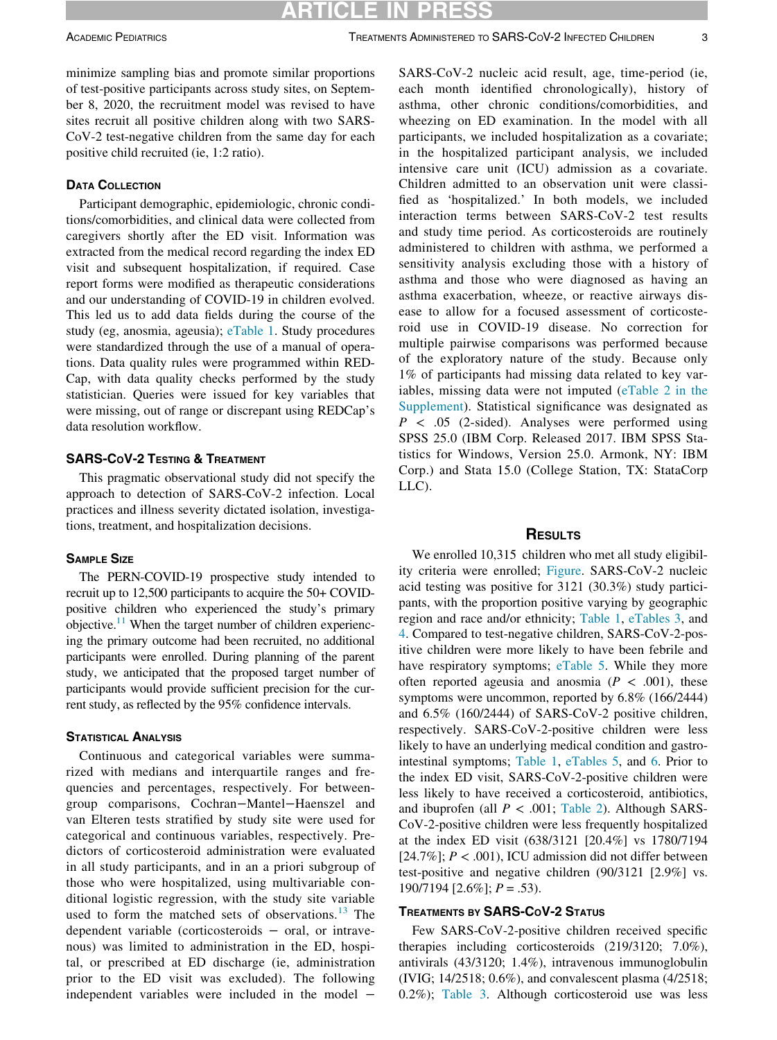### ARTICLE IN

minimize sampling bias and promote similar proportions of test-positive participants across study sites, on September 8, 2020, the recruitment model was revised to have sites recruit all positive children along with two SARS-CoV-2 test-negative children from the same day for each positive child recruited (ie, 1:2 ratio).

### DATA COLLECTION

Participant demographic, epidemiologic, chronic conditions/comorbidities, and clinical data were collected from caregivers shortly after the ED visit. Information was extracted from the medical record regarding the index ED visit and subsequent hospitalization, if required. Case report forms were modified as therapeutic considerations and our understanding of COVID-19 in children evolved. This led us to add data fields during the course of the study (eg, anosmia, ageusia); [eTable 1.](#page-10-12) Study procedures were standardized through the use of a manual of operations. Data quality rules were programmed within RED-Cap, with data quality checks performed by the study statistician. Queries were issued for key variables that were missing, out of range or discrepant using REDCap's data resolution workflow.

### SARS-COV-2 TESTING & TREATMENT

This pragmatic observational study did not specify the approach to detection of SARS-CoV-2 infection. Local practices and illness severity dictated isolation, investigations, treatment, and hospitalization decisions.

### SAMPLE SIZE

The PERN-COVID-19 prospective study intended to recruit up to 12,500 participants to acquire the 50+ COVIDpositive children who experienced the study's primary objective. $11$  When the target number of children experiencing the primary outcome had been recruited, no additional participants were enrolled. During planning of the parent study, we anticipated that the proposed target number of participants would provide sufficient precision for the current study, as reflected by the 95% confidence intervals.

#### STATISTICAL ANALYSIS

Continuous and categorical variables were summarized with medians and interquartile ranges and frequencies and percentages, respectively. For betweengroup comparisons, Cochran−Mantel−Haenszel and van Elteren tests stratified by study site were used for categorical and continuous variables, respectively. Predictors of corticosteroid administration were evaluated in all study participants, and in an a priori subgroup of those who were hospitalized, using multivariable conditional logistic regression, with the study site variable used to form the matched sets of observations.<sup>[13](#page-10-13)</sup> The dependent variable (corticosteroids − oral, or intravenous) was limited to administration in the ED, hospital, or prescribed at ED discharge (ie, administration prior to the ED visit was excluded). The following independent variables were included in the model −

SARS-CoV-2 nucleic acid result, age, time-period (ie, each month identified chronologically), history of asthma, other chronic conditions/comorbidities, and wheezing on ED examination. In the model with all participants, we included hospitalization as a covariate; in the hospitalized participant analysis, we included intensive care unit (ICU) admission as a covariate. Children admitted to an observation unit were classified as 'hospitalized.' In both models, we included interaction terms between SARS-CoV-2 test results and study time period. As corticosteroids are routinely administered to children with asthma, we performed a sensitivity analysis excluding those with a history of asthma and those who were diagnosed as having an asthma exacerbation, wheeze, or reactive airways disease to allow for a focused assessment of corticosteroid use in COVID-19 disease. No correction for multiple pairwise comparisons was performed because of the exploratory nature of the study. Because only 1% of participants had missing data related to key variables, missing data were not imputed [\(eTable 2 in the](#page-10-12) [Supplement](#page-10-12)). Statistical significance was designated as  $P \leq .05$  (2-sided). Analyses were performed using SPSS 25.0 (IBM Corp. Released 2017. IBM SPSS Statistics for Windows, Version 25.0. Armonk, NY: IBM Corp.) and Stata 15.0 (College Station, TX: StataCorp LLC).

### **RESULTS**

We enrolled 10,315 children who met all study eligibility criteria were enrolled; [Figure.](#page-3-0) SARS-CoV-2 nucleic acid testing was positive for 3121 (30.3%) study participants, with the proportion positive varying by geographic region and race and/or ethnicity; [Table 1,](#page-4-0) [eTables 3,](#page-10-12) and [4](#page-10-12). Compared to test-negative children, SARS-CoV-2-positive children were more likely to have been febrile and have respiratory symptoms; [eTable 5.](#page-10-12) While they more often reported ageusia and anosmia ( $P < .001$ ), these symptoms were uncommon, reported by 6.8% (166/2444) and 6.5% (160/2444) of SARS-CoV-2 positive children, respectively. SARS-CoV-2-positive children were less likely to have an underlying medical condition and gastrointestinal symptoms; [Table 1,](#page-4-0) [eTables 5,](#page-10-12) and [6](#page-10-12). Prior to the index ED visit, SARS-CoV-2-positive children were less likely to have received a corticosteroid, antibiotics, and ibuprofen (all  $P < .001$ ; [Table 2\)](#page-5-0). Although SARS-CoV-2-positive children were less frequently hospitalized at the index ED visit (638/3121 [20.4%] vs 1780/7194 [24.7%];  $P < .001$ ), ICU admission did not differ between test-positive and negative children (90/3121 [2.9%] vs.  $190/7194$   $[2.6\%]$ ;  $P = .53$ ).

### TREATMENTS BY SARS-COV-2 STATUS

Few SARS-CoV-2-positive children received specific therapies including corticosteroids (219/3120; 7.0%), antivirals (43/3120; 1.4%), intravenous immunoglobulin (IVIG; 14/2518; 0.6%), and convalescent plasma (4/2518; 0.2%); [Table 3](#page-6-0). Although corticosteroid use was less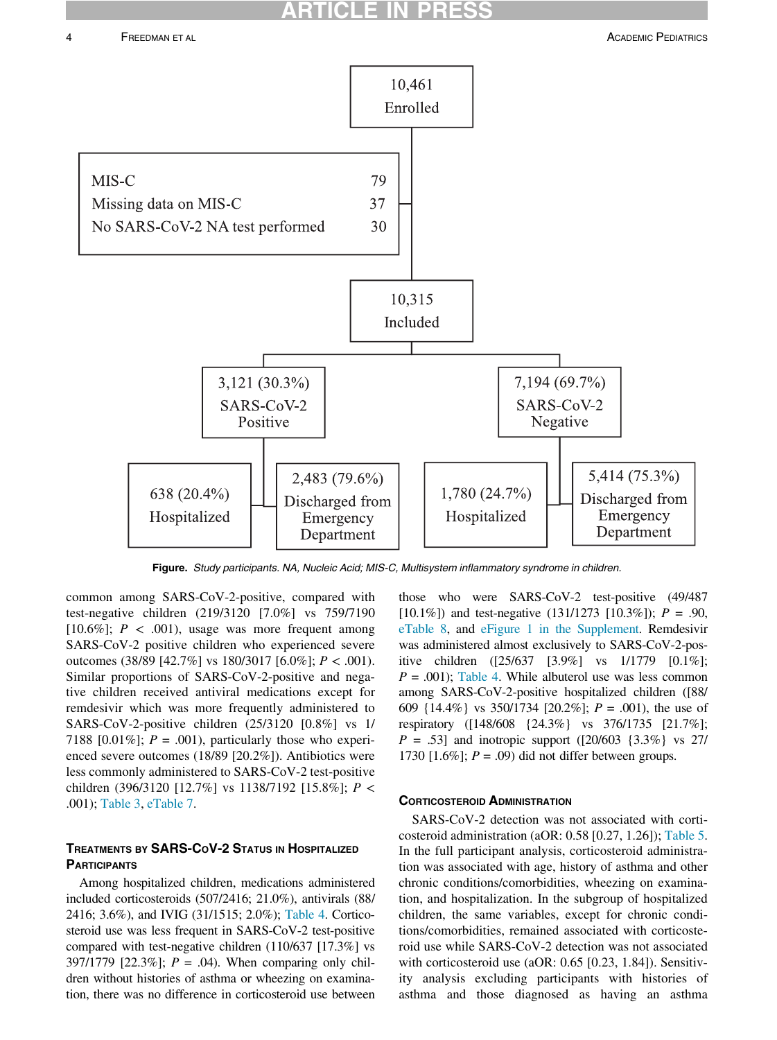### **RTICLE**

<span id="page-3-0"></span>

Figure. Study participants. NA, Nucleic Acid; MIS-C, Multisystem inflammatory syndrome in children.

common among SARS-CoV-2-positive, compared with test-negative children (219/3120 [7.0%] vs 759/7190 [10.6%];  $P < .001$ ), usage was more frequent among SARS-CoV-2 positive children who experienced severe outcomes (38/89 [42.7%] vs 180/3017 [6.0%];  $P < .001$ ). Similar proportions of SARS-CoV-2-positive and negative children received antiviral medications except for remdesivir which was more frequently administered to SARS-CoV-2-positive children (25/3120 [0.8%] vs 1/ 7188 [0.01%];  $P = .001$ ), particularly those who experienced severe outcomes (18/89 [20.2%]). Antibiotics were less commonly administered to SARS-CoV-2 test-positive children (396/3120 [12.7%] vs 1138/7192 [15.8%];  $P <$ .001); [Table 3,](#page-6-0) [eTable 7.](#page-10-12)

### TREATMENTS BY SARS-COV-2 STATUS IN HOSPITALIZED **PARTICIPANTS**

Among hospitalized children, medications administered included corticosteroids (507/2416; 21.0%), antivirals (88/ 2416; 3.6%), and IVIG (31/1515; 2.0%); [Table 4.](#page-7-0) Corticosteroid use was less frequent in SARS-CoV-2 test-positive compared with test-negative children (110/637 [17.3%] vs 397/1779 [22.3%];  $P = .04$ ). When comparing only children without histories of asthma or wheezing on examination, there was no difference in corticosteroid use between

those who were SARS-CoV-2 test-positive (49/487 [10.1%]) and test-negative  $(131/1273$  [10.3%]);  $P = .90$ , [eTable 8](#page-10-12), and [eFigure 1 in the Supplement](#page-10-12). Remdesivir was administered almost exclusively to SARS-CoV-2-positive children ([25/637 [3.9%] vs 1/1779 [0.1%];  $P = .001$ ; [Table 4](#page-7-0). While albuterol use was less common among SARS-CoV-2-positive hospitalized children ([88/ 609  $\{14.4\% \}$  vs 350/1734  $[20.2\%]$ ;  $P = .001$ ), the use of respiratory ([148/608 {24.3%} vs 376/1735 [21.7%];  $P = .53$ ] and inotropic support ([20/603 {3.3%} vs 27/ 1730  $[1.6\%]$ ;  $P = .09$ ) did not differ between groups.

#### CORTICOSTEROID ADMINISTRATION

SARS-CoV-2 detection was not associated with corticosteroid administration (aOR: 0.58 [0.27, 1.26]); [Table 5.](#page-8-0) In the full participant analysis, corticosteroid administration was associated with age, history of asthma and other chronic conditions/comorbidities, wheezing on examination, and hospitalization. In the subgroup of hospitalized children, the same variables, except for chronic conditions/comorbidities, remained associated with corticosteroid use while SARS-CoV-2 detection was not associated with corticosteroid use (aOR: 0.65 [0.23, 1.84]). Sensitivity analysis excluding participants with histories of asthma and those diagnosed as having an asthma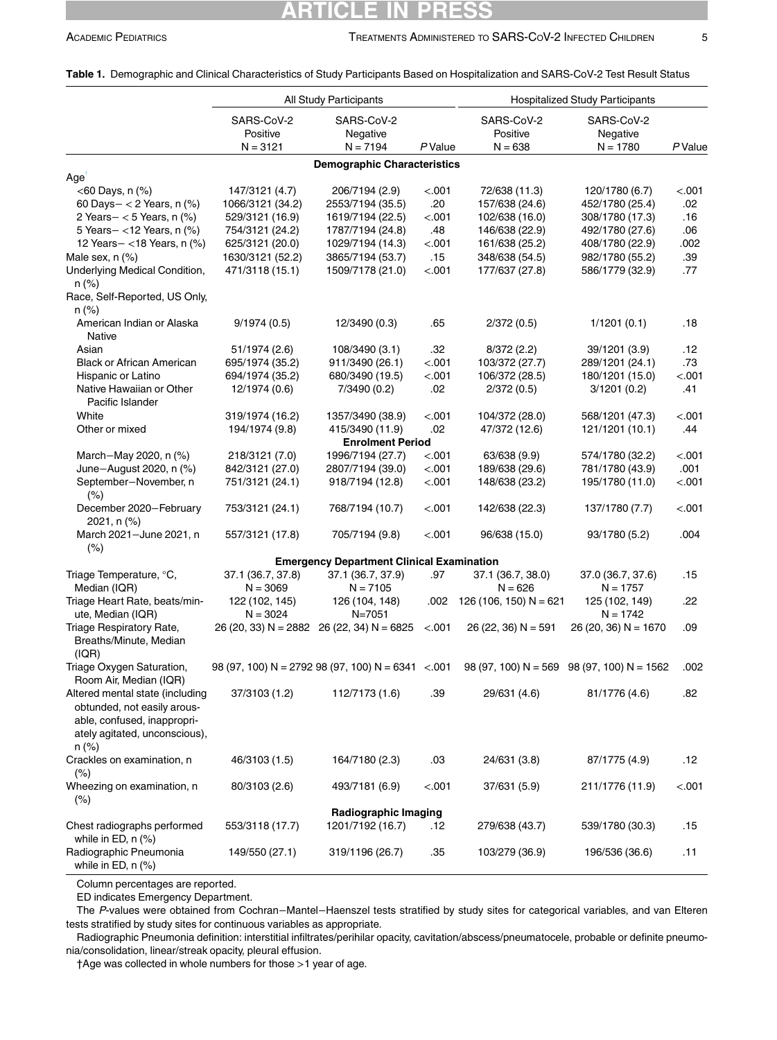### RTICLE IN

|                                                                                                                                         | All Study Participants               |                                                        |         | <b>Hospitalized Study Participants</b> |                                              |         |
|-----------------------------------------------------------------------------------------------------------------------------------------|--------------------------------------|--------------------------------------------------------|---------|----------------------------------------|----------------------------------------------|---------|
|                                                                                                                                         | SARS-CoV-2<br>Positive<br>$N = 3121$ | SARS-CoV-2<br>Negative<br>$N = 7194$                   | P Value | SARS-CoV-2<br>Positive<br>$N = 638$    | SARS-CoV-2<br>Negative<br>$N = 1780$         | P Value |
|                                                                                                                                         |                                      | <b>Demographic Characteristics</b>                     |         |                                        |                                              |         |
| Age <sup>'</sup>                                                                                                                        |                                      |                                                        |         |                                        |                                              |         |
| $<$ 60 Days, n $(\%)$                                                                                                                   | 147/3121 (4.7)                       | 206/7194 (2.9)                                         | < .001  | 72/638 (11.3)                          | 120/1780 (6.7)                               | < 0.001 |
| 60 Days- < 2 Years, $n$ (%)                                                                                                             | 1066/3121 (34.2)                     | 2553/7194 (35.5)                                       | .20     | 157/638 (24.6)                         | 452/1780 (25.4)                              | .02     |
| 2 Years $-$ < 5 Years, n $(\%)$                                                                                                         | 529/3121 (16.9)                      | 1619/7194 (22.5)                                       | < .001  | 102/638 (16.0)                         | 308/1780 (17.3)                              | .16     |
| 5 Years-<12 Years, n (%)                                                                                                                | 754/3121 (24.2)                      | 1787/7194 (24.8)                                       | .48     | 146/638 (22.9)                         | 492/1780 (27.6)                              | .06     |
| 12 Years-<18 Years, n (%)                                                                                                               | 625/3121 (20.0)                      | 1029/7194 (14.3)                                       | < .001  | 161/638 (25.2)                         | 408/1780 (22.9)                              | .002    |
| Male sex, $n$ $%$                                                                                                                       | 1630/3121 (52.2)                     | 3865/7194 (53.7)                                       | .15     | 348/638 (54.5)                         | 982/1780 (55.2)                              | .39     |
| Underlying Medical Condition,<br>$n$ (%)                                                                                                | 471/3118 (15.1)                      | 1509/7178 (21.0)                                       | < .001  | 177/637 (27.8)                         | 586/1779 (32.9)                              | .77     |
| Race, Self-Reported, US Only,<br>$n (\%)$                                                                                               |                                      |                                                        |         |                                        |                                              |         |
| American Indian or Alaska<br>Native                                                                                                     | 9/1974(0.5)                          | 12/3490 (0.3)                                          | .65     | 2/372 (0.5)                            | 1/1201(0.1)                                  | .18     |
| Asian                                                                                                                                   | 51/1974 (2.6)                        | 108/3490 (3.1)                                         | .32     | 8/372(2.2)                             | 39/1201 (3.9)                                | .12     |
| <b>Black or African American</b>                                                                                                        | 695/1974 (35.2)                      | 911/3490 (26.1)                                        | < .001  | 103/372 (27.7)                         | 289/1201 (24.1)                              | .73     |
| Hispanic or Latino                                                                                                                      | 694/1974 (35.2)                      | 680/3490 (19.5)                                        | < .001  | 106/372 (28.5)                         | 180/1201 (15.0)                              | < .001  |
| Native Hawaiian or Other<br>Pacific Islander                                                                                            | 12/1974 (0.6)                        | 7/3490 (0.2)                                           | .02     | 2/372(0.5)                             | 3/1201(0.2)                                  | .41     |
| White                                                                                                                                   | 319/1974 (16.2)                      | 1357/3490 (38.9)                                       | < .001  | 104/372 (28.0)                         | 568/1201 (47.3)                              | < 001   |
| Other or mixed                                                                                                                          | 194/1974 (9.8)                       | 415/3490 (11.9)<br><b>Enrolment Period</b>             | .02     | 47/372 (12.6)                          | 121/1201 (10.1)                              | .44     |
| March-May 2020, n (%)                                                                                                                   | 218/3121 (7.0)                       | 1996/7194 (27.7)                                       | < 001   | 63/638 (9.9)                           | 574/1780 (32.2)                              | < .001  |
| June-August 2020, n (%)                                                                                                                 | 842/3121 (27.0)                      | 2807/7194 (39.0)                                       | < .001  | 189/638 (29.6)                         | 781/1780 (43.9)                              | .001    |
| September-November, n<br>$(\% )$                                                                                                        | 751/3121 (24.1)                      | 918/7194 (12.8)                                        | < .001  | 148/638 (23.2)                         | 195/1780 (11.0)                              | < .001  |
| December 2020-February<br>2021, n (%)                                                                                                   | 753/3121 (24.1)                      | 768/7194 (10.7)                                        | < .001  | 142/638 (22.3)                         | 137/1780 (7.7)                               | < .001  |
| March 2021-June 2021, n<br>(% )                                                                                                         | 557/3121 (17.8)                      | 705/7194 (9.8)                                         | < .001  | 96/638 (15.0)                          | 93/1780 (5.2)                                | .004    |
|                                                                                                                                         |                                      | <b>Emergency Department Clinical Examination</b>       |         |                                        |                                              |         |
| Triage Temperature, °C,<br>Median (IQR)                                                                                                 | 37.1 (36.7, 37.8)<br>$N = 3069$      | 37.1 (36.7, 37.9)<br>$N = 7105$                        | .97     | 37.1 (36.7, 38.0)<br>$N = 626$         | 37.0 (36.7, 37.6)<br>$N = 1757$              | .15     |
| Triage Heart Rate, beats/min-<br>ute, Median (IQR)                                                                                      | 122 (102, 145)<br>$N = 3024$         | 126 (104, 148)<br>$N = 7051$                           | .002    | 126 (106, 150) N = 621                 | 125 (102, 149)<br>$N = 1742$                 | .22     |
| Triage Respiratory Rate,<br>Breaths/Minute, Median<br>(IQR)                                                                             |                                      | 26 (20, 33) N = 2882 26 (22, 34) N = 6825              | < .001  | $26(22, 36)$ N = 591                   | $26(20, 36) N = 1670$                        | .09     |
| Triage Oxygen Saturation,<br>Room Air, Median (IQR)                                                                                     |                                      | 98 (97, 100) N = 2792 98 (97, 100) N = 6341 $\leq$ 001 |         |                                        | $98 (97, 100) N = 569$ 98 (97, 100) N = 1562 | .002    |
| Altered mental state (including<br>obtunded, not easily arous-<br>able, confused, inappropri-<br>ately agitated, unconscious),<br>n (%) | 37/3103 (1.2)                        | 112/7173 (1.6)                                         | .39     | 29/631 (4.6)                           | 81/1776 (4.6)                                | .82     |
| Crackles on examination, n                                                                                                              | 46/3103 (1.5)                        | 164/7180 (2.3)                                         | .03     | 24/631 (3.8)                           | 87/1775 (4.9)                                | .12     |
| $(\%)$<br>Wheezing on examination, n<br>$(\% )$                                                                                         | 80/3103 (2.6)                        | 493/7181 (6.9)                                         | < .001  | 37/631 (5.9)                           | 211/1776 (11.9)                              | < .001  |
|                                                                                                                                         |                                      | Radiographic Imaging                                   |         |                                        |                                              |         |
| Chest radiographs performed<br>while in ED, $n$ $(\%)$                                                                                  | 553/3118 (17.7)                      | 1201/7192 (16.7)                                       | .12     | 279/638 (43.7)                         | 539/1780 (30.3)                              | .15     |
| Radiographic Pneumonia<br>while in ED, $n$ $(\%)$                                                                                       | 149/550 (27.1)                       | 319/1196 (26.7)                                        | .35     | 103/279 (36.9)                         | 196/536 (36.6)                               | .11     |

<span id="page-4-0"></span>Table 1. Demographic and Clinical Characteristics of Study Participants Based on Hospitalization and SARS-CoV-2 Test Result Status

Column percentages are reported.

ED indicates Emergency Department.

The P-values were obtained from Cochran−Mantel−Haenszel tests stratified by study sites for categorical variables, and van Elteren tests stratified by study sites for continuous variables as appropriate.

<span id="page-4-1"></span>Radiographic Pneumonia definition: interstitial infiltrates/perihilar opacity, cavitation/abscess/pneumatocele, probable or definite pneumonia/consolidation, linear/streak opacity, pleural effusion.

†Age was collected in whole numbers for those >1 year of age.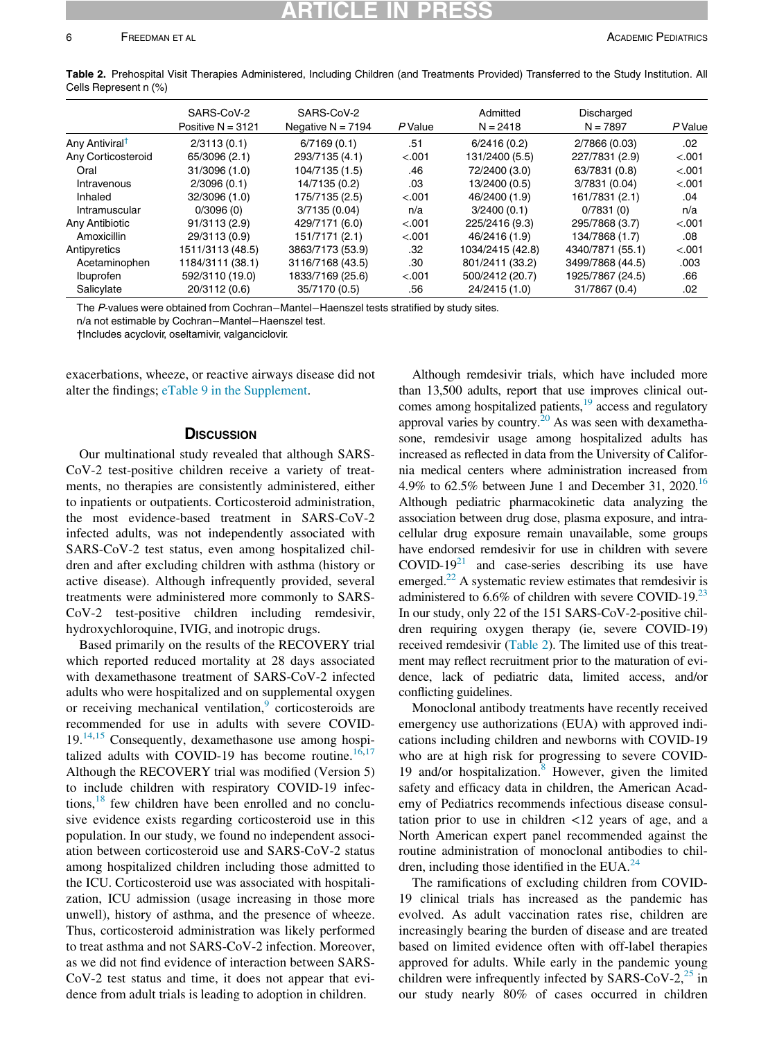<span id="page-5-0"></span>Table 2. Prehospital Visit Therapies Administered, Including Children (and Treatments Provided) Transferred to the Study Institution. All Cells Represent n (%)

|                            | SARS-CoV-2<br>Positive $N = 3121$ | SARS-CoV-2<br>Negative $N = 7194$ | <b>P</b> Value | Admitted<br>$N = 2418$ | Discharged<br>$N = 7897$ | P Value |
|----------------------------|-----------------------------------|-----------------------------------|----------------|------------------------|--------------------------|---------|
| Any Antiviral <sup>t</sup> | 2/3113(0.1)                       | 6/7169(0.1)                       | .51            | 6/2416(0.2)            | 2/7866 (0.03)            | .02     |
| Any Corticosteroid         | 65/3096 (2.1)                     | 293/7135 (4.1)                    | < .001         | 131/2400 (5.5)         | 227/7831 (2.9)           | $-.001$ |
| Oral                       | 31/3096 (1.0)                     | 104/7135 (1.5)                    | .46            | 72/2400 (3.0)          | 63/7831 (0.8)            | $-.001$ |
| Intravenous                | 2/3096(0.1)                       | 14/7135 (0.2)                     | .03            | 13/2400 (0.5)          | 3/7831 (0.04)            | $-.001$ |
| Inhaled                    | 32/3096 (1.0)                     | 175/7135 (2.5)                    | < .001         | 46/2400 (1.9)          | 161/7831 (2.1)           | .04     |
| Intramuscular              | 0/3096(0)                         | 3/7135 (0.04)                     | n/a            | 3/2400(0.1)            | 0/7831(0)                | n/a     |
| Any Antibiotic             | 91/3113 (2.9)                     | 429/7171 (6.0)                    | < .001         | 225/2416 (9.3)         | 295/7868 (3.7)           | $-.001$ |
| Amoxicillin                | 29/3113 (0.9)                     | 151/7171 (2.1)                    | < .001         | 46/2416 (1.9)          | 134/7868 (1.7)           | .08     |
| Antipyretics               | 1511/3113 (48.5)                  | 3863/7173 (53.9)                  | .32            | 1034/2415 (42.8)       | 4340/7871 (55.1)         | $-.001$ |
| Acetaminophen              | 1184/3111 (38.1)                  | 3116/7168 (43.5)                  | .30            | 801/2411 (33.2)        | 3499/7868 (44.5)         | .003    |
| Ibuprofen                  | 592/3110 (19.0)                   | 1833/7169 (25.6)                  | < .001         | 500/2412 (20.7)        | 1925/7867 (24.5)         | .66     |
| Salicylate                 | 20/3112 (0.6)                     | 35/7170 (0.5)                     | .56            | 24/2415 (1.0)          | 31/7867 (0.4)            | .02     |

The P-values were obtained from Cochran−Mantel−Haenszel tests stratified by study sites.

<span id="page-5-1"></span>n/a not estimable by Cochran−Mantel−Haenszel test.

†Includes acyclovir, oseltamivir, valganciclovir.

exacerbations, wheeze, or reactive airways disease did not alter the findings; [eTable 9 in the Supplement.](#page-10-12)

### **DISCUSSION**

Our multinational study revealed that although SARS-CoV-2 test-positive children receive a variety of treatments, no therapies are consistently administered, either to inpatients or outpatients. Corticosteroid administration, the most evidence-based treatment in SARS-CoV-2 infected adults, was not independently associated with SARS-CoV-2 test status, even among hospitalized children and after excluding children with asthma (history or active disease). Although infrequently provided, several treatments were administered more commonly to SARS-CoV-2 test-positive children including remdesivir, hydroxychloroquine, IVIG, and inotropic drugs.

Based primarily on the results of the RECOVERY trial which reported reduced mortality at 28 days associated with dexamethasone treatment of SARS-CoV-2 infected adults who were hospitalized and on supplemental oxygen or receiving mechanical ventilation,<sup>[9](#page-10-8)</sup> corticosteroids are recommended for use in adults with severe COVID- $19.^{14,15}$  $19.^{14,15}$  $19.^{14,15}$  Consequently, dexamethasone use among hospi-talized adults with COVID-19 has become routine.<sup>[16](#page-10-16),[17](#page-10-17)</sup> Although the RECOVERY trial was modified (Version 5) to include children with respiratory COVID-19 infections, $18$  few children have been enrolled and no conclusive evidence exists regarding corticosteroid use in this population. In our study, we found no independent association between corticosteroid use and SARS-CoV-2 status among hospitalized children including those admitted to the ICU. Corticosteroid use was associated with hospitalization, ICU admission (usage increasing in those more unwell), history of asthma, and the presence of wheeze. Thus, corticosteroid administration was likely performed to treat asthma and not SARS-CoV-2 infection. Moreover, as we did not find evidence of interaction between SARS-CoV-2 test status and time, it does not appear that evidence from adult trials is leading to adoption in children.

Although remdesivir trials, which have included more than 13,500 adults, report that use improves clinical outcomes among hospitalized patients, $19$  access and regulatory approval varies by country.<sup>[20](#page-10-20)</sup> As was seen with dexamethasone, remdesivir usage among hospitalized adults has increased as reflected in data from the University of California medical centers where administration increased from 4.9% to 62.5% between June 1 and December 31, 2020.<sup>[16](#page-10-16)</sup> Although pediatric pharmacokinetic data analyzing the association between drug dose, plasma exposure, and intracellular drug exposure remain unavailable, some groups have endorsed remdesivir for use in children with severe  $\text{COVID-19}^{21}$  and case-series describing its use have emerged.<sup>22</sup> A systematic review estimates that remdesivir is administered to  $6.6\%$  of children with severe COVID-19.<sup>[23](#page-10-23)</sup> In our study, only 22 of the 151 SARS-CoV-2-positive children requiring oxygen therapy (ie, severe COVID-19) received remdesivir [\(Table 2\)](#page-5-0). The limited use of this treatment may reflect recruitment prior to the maturation of evidence, lack of pediatric data, limited access, and/or conflicting guidelines.

Monoclonal antibody treatments have recently received emergency use authorizations (EUA) with approved indications including children and newborns with COVID-19 who are at high risk for progressing to severe COVID-19 and/or hospitalization.<sup>[8](#page-10-7)</sup> However, given the limited safety and efficacy data in children, the American Academy of Pediatrics recommends infectious disease consultation prior to use in children <12 years of age, and a North American expert panel recommended against the routine administration of monoclonal antibodies to chil-dren, including those identified in the EUA.<sup>[24](#page-10-24)</sup>

The ramifications of excluding children from COVID-19 clinical trials has increased as the pandemic has evolved. As adult vaccination rates rise, children are increasingly bearing the burden of disease and are treated based on limited evidence often with off-label therapies approved for adults. While early in the pandemic young children were infrequently infected by SARS-CoV- $2<sup>25</sup>$  in our study nearly 80% of cases occurred in children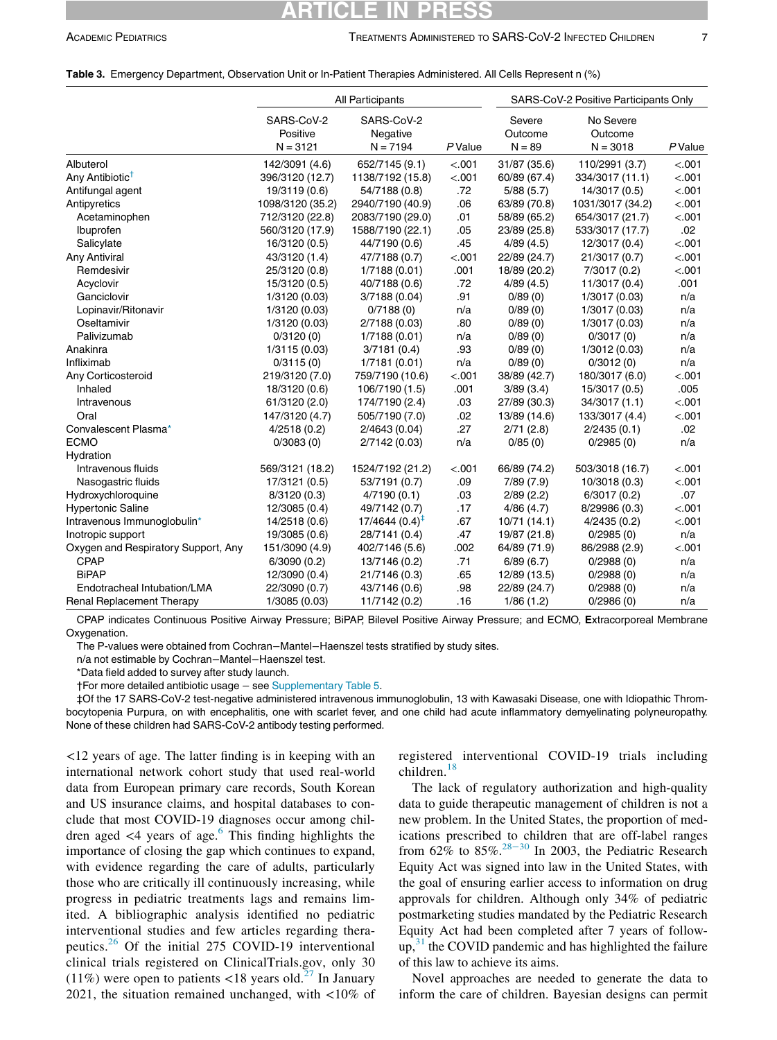### CLE 1

#### <span id="page-6-0"></span>Table 3. Emergency Department, Observation Unit or In-Patient Therapies Administered. All Cells Represent n (%)

|                                     | All Participants                     |                                      |         | SARS-CoV-2 Positive Participants Only |                                    |        |
|-------------------------------------|--------------------------------------|--------------------------------------|---------|---------------------------------------|------------------------------------|--------|
|                                     | SARS-CoV-2<br>Positive<br>$N = 3121$ | SARS-CoV-2<br>Negative<br>$N = 7194$ | P Value | Severe<br>Outcome<br>$N = 89$         | No Severe<br>Outcome<br>$N = 3018$ | PValue |
| Albuterol                           | 142/3091 (4.6)                       | 652/7145 (9.1)                       | < .001  | 31/87 (35.6)                          | 110/2991 (3.7)                     | < .001 |
| Any Antibiotic <sup>†</sup>         | 396/3120 (12.7)                      | 1138/7192 (15.8)                     | < .001  | 60/89 (67.4)                          | 334/3017 (11.1)                    | < .001 |
| Antifungal agent                    | 19/3119 (0.6)                        | 54/7188 (0.8)                        | .72     | 5/88(5.7)                             | 14/3017 (0.5)                      | < .001 |
| Antipyretics                        | 1098/3120 (35.2)                     | 2940/7190 (40.9)                     | .06     | 63/89 (70.8)                          | 1031/3017 (34.2)                   | < .001 |
| Acetaminophen                       | 712/3120 (22.8)                      | 2083/7190 (29.0)                     | .01     | 58/89 (65.2)                          | 654/3017 (21.7)                    | < .001 |
| Ibuprofen                           | 560/3120 (17.9)                      | 1588/7190 (22.1)                     | .05     | 23/89 (25.8)                          | 533/3017 (17.7)                    | .02    |
| Salicylate                          | 16/3120 (0.5)                        | 44/7190 (0.6)                        | .45     | 4/89(4.5)                             | 12/3017 (0.4)                      | < .001 |
| <b>Any Antiviral</b>                | 43/3120 (1.4)                        | 47/7188 (0.7)                        | < .001  | 22/89 (24.7)                          | 21/3017 (0.7)                      | < .001 |
| Remdesivir                          | 25/3120 (0.8)                        | 1/7188(0.01)                         | .001    | 18/89 (20.2)                          | 7/3017 (0.2)                       | < .001 |
| Acyclovir                           | 15/3120 (0.5)                        | 40/7188 (0.6)                        | .72     | 4/89(4.5)                             | 11/3017 (0.4)                      | .001   |
| Ganciclovir                         | 1/3120 (0.03)                        | 3/7188 (0.04)                        | .91     | 0/89(0)                               | 1/3017 (0.03)                      | n/a    |
| Lopinavir/Ritonavir                 | 1/3120 (0.03)                        | 0/7188(0)                            | n/a     | 0/89(0)                               | 1/3017 (0.03)                      | n/a    |
| Oseltamivir                         | 1/3120 (0.03)                        | 2/7188 (0.03)                        | .80     | 0/89(0)                               | 1/3017 (0.03)                      | n/a    |
| Palivizumab                         | 0/3120(0)                            | 1/7188(0.01)                         | n/a     | 0/89(0)                               | 0/3017(0)                          | n/a    |
| Anakinra                            | 1/3115(0.03)                         | 3/7181(0.4)                          | .93     | 0/89(0)                               | 1/3012 (0.03)                      | n/a    |
| Infliximab                          | 0/3115(0)                            | 1/7181 (0.01)                        | n/a     | 0/89(0)                               | 0/3012(0)                          | n/a    |
| Any Corticosteroid                  | 219/3120 (7.0)                       | 759/7190 (10.6)                      | < .001  | 38/89 (42.7)                          | 180/3017 (6.0)                     | < .001 |
| Inhaled                             | 18/3120 (0.6)                        | 106/7190 (1.5)                       | .001    | 3/89(3.4)                             | 15/3017 (0.5)                      | .005   |
| Intravenous                         | 61/3120 (2.0)                        | 174/7190 (2.4)                       | .03     | 27/89 (30.3)                          | 34/3017 (1.1)                      | < .001 |
| Oral                                | 147/3120 (4.7)                       | 505/7190 (7.0)                       | .02     | 13/89 (14.6)                          | 133/3017 (4.4)                     | < .001 |
| Convalescent Plasma*                | 4/2518(0.2)                          | 2/4643 (0.04)                        | .27     | 2/71(2.8)                             | 2/2435(0.1)                        | .02    |
| <b>ECMO</b>                         | 0/3083(0)                            | 2/7142 (0.03)                        | n/a     | 0/85(0)                               | 0/2985(0)                          | n/a    |
| Hydration                           |                                      |                                      |         |                                       |                                    |        |
| Intravenous fluids                  | 569/3121 (18.2)                      | 1524/7192 (21.2)                     | < .001  | 66/89 (74.2)                          | 503/3018 (16.7)                    | < .001 |
| Nasogastric fluids                  | 17/3121 (0.5)                        | 53/7191 (0.7)                        | .09     | 7/89(7.9)                             | 10/3018 (0.3)                      | < .001 |
| Hydroxychloroquine                  | 8/3120 (0.3)                         | 4/7190(0.1)                          | .03     | 2/89(2.2)                             | 6/3017(0.2)                        | .07    |
| <b>Hypertonic Saline</b>            | 12/3085 (0.4)                        | 49/7142 (0.7)                        | .17     | 4/86(4.7)                             | 8/29986 (0.3)                      | < .001 |
| Intravenous Immunoglobulin*         | 14/2518 (0.6)                        | $17/4644(0.4)^{4}$                   | .67     | 10/71(14.1)                           | 4/2435(0.2)                        | < .001 |
| Inotropic support                   | 19/3085 (0.6)                        | 28/7141 (0.4)                        | .47     | 19/87 (21.8)                          | 0/2985(0)                          | n/a    |
| Oxygen and Respiratory Support, Any | 151/3090 (4.9)                       | 402/7146 (5.6)                       | .002    | 64/89 (71.9)                          | 86/2988 (2.9)                      | < .001 |
| <b>CPAP</b>                         | 6/3090(0.2)                          | 13/7146 (0.2)                        | .71     | 6/89(6.7)                             | 0/2988(0)                          | n/a    |
| <b>BiPAP</b>                        | 12/3090 (0.4)                        | 21/7146 (0.3)                        | .65     | 12/89 (13.5)                          | 0/2988(0)                          | n/a    |
| Endotracheal Intubation/LMA         | 22/3090 (0.7)                        | 43/7146 (0.6)                        | .98     | 22/89 (24.7)                          | 0/2988(0)                          | n/a    |
| <b>Renal Replacement Therapy</b>    | 1/3085 (0.03)                        | 11/7142 (0.2)                        | .16     | 1/86(1.2)                             | 0/2986(0)                          | n/a    |

CPAP indicates Continuous Positive Airway Pressure; BiPAP, Bilevel Positive Airway Pressure; and ECMO, Extracorporeal Membrane Oxygenation.

The P-values were obtained from Cochran−Mantel−Haenszel tests stratified by study sites.

n/a not estimable by Cochran−Mantel−Haenszel test.

\*Data field added to survey after study launch.

†For more detailed antibiotic usage − see [Supplementary Table 5.](#page-10-12)

<span id="page-6-2"></span><span id="page-6-1"></span>‡Of the 17 SARS-CoV-2 test-negative administered intravenous immunoglobulin, 13 with Kawasaki Disease, one with Idiopathic Thrombocytopenia Purpura, on with encephalitis, one with scarlet fever, and one child had acute inflammatory demyelinating polyneuropathy. None of these children had SARS-CoV-2 antibody testing performed.

<12 years of age. The latter finding is in keeping with an international network cohort study that used real-world data from European primary care records, South Korean and US insurance claims, and hospital databases to conclude that most COVID-19 diagnoses occur among children aged  $\lt$ 4 years of age.<sup>[6](#page-10-5)</sup> This finding highlights the importance of closing the gap which continues to expand, with evidence regarding the care of adults, particularly those who are critically ill continuously increasing, while progress in pediatric treatments lags and remains limited. A bibliographic analysis identified no pediatric interventional studies and few articles regarding therapeutics.[26](#page-10-26) Of the initial 275 COVID-19 interventional clinical trials registered on ClinicalTrials.gov, only 30 (11%) were open to patients <18 years old.<sup>[27](#page-10-27)</sup> In January 2021, the situation remained unchanged, with  $\langle 10\%$  of registered interventional COVID-19 trials including children. $18$ 

The lack of regulatory authorization and high-quality data to guide therapeutic management of children is not a new problem. In the United States, the proportion of medications prescribed to children that are off-label ranges from  $62\%$  to  $85\%$ .<sup>[28](#page-11-0)–30</sup> In 2003, the Pediatric Research Equity Act was signed into law in the United States, with the goal of ensuring earlier access to information on drug approvals for children. Although only 34% of pediatric postmarketing studies mandated by the Pediatric Research Equity Act had been completed after 7 years of follow $up,$ <sup>[31](#page-11-1)</sup>, the COVID pandemic and has highlighted the failure of this law to achieve its aims.

Novel approaches are needed to generate the data to inform the care of children. Bayesian designs can permit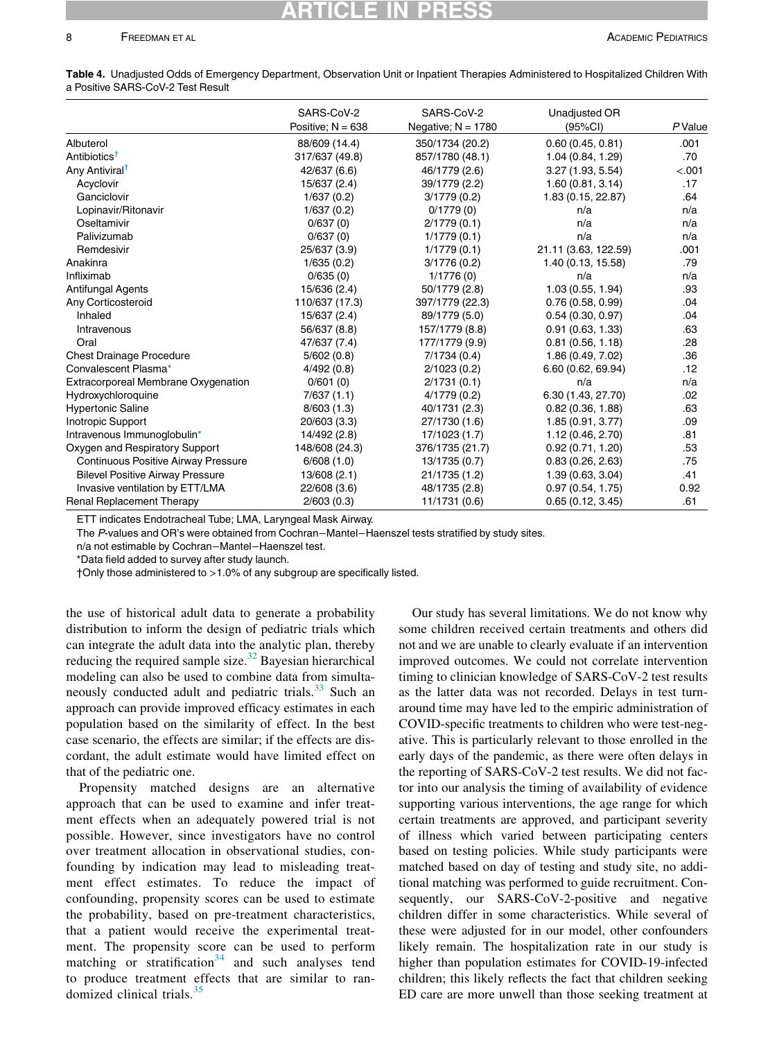## RTICLE

### 8 FREEDMAN ET AL ACADEMIC PEDIATRICS

<span id="page-7-0"></span>

| Table 4. Unadjusted Odds of Emergency Department, Observation Unit or Inpatient Therapies Administered to Hospitalized Children With |  |  |  |
|--------------------------------------------------------------------------------------------------------------------------------------|--|--|--|
| a Positive SARS-CoV-2 Test Result                                                                                                    |  |  |  |

|                                            | SARS-CoV-2<br>Positive; $N = 638$ | SARS-CoV-2<br>Negative; $N = 1780$ | Unadjusted OR<br>(95%CI) | $P$ Value |
|--------------------------------------------|-----------------------------------|------------------------------------|--------------------------|-----------|
| Albuterol                                  | 88/609 (14.4)                     | 350/1734 (20.2)                    | 0.60(0.45, 0.81)         | .001      |
| Antibiotics <sup>†</sup>                   | 317/637 (49.8)                    | 857/1780 (48.1)                    | 1.04 (0.84, 1.29)        | .70       |
| Any Antiviral <sup>†</sup>                 | 42/637 (6.6)                      | 46/1779 (2.6)                      | 3.27 (1.93, 5.54)        | < .001    |
| Acyclovir                                  | 15/637 (2.4)                      | 39/1779 (2.2)                      | 1.60(0.81, 3.14)         | .17       |
| Ganciclovir                                | 1/637(0.2)                        | 3/1779(0.2)                        | 1.83 (0.15, 22.87)       | .64       |
| Lopinavir/Ritonavir                        | 1/637(0.2)                        | 0/1779(0)                          | n/a                      | n/a       |
| Oseltamivir                                | 0/637(0)                          | 2/1779(0.1)                        | n/a                      | n/a       |
| Palivizumab                                | 0/637(0)                          | 1/1779(0.1)                        | n/a                      | n/a       |
| Remdesivir                                 | 25/637 (3.9)                      | 1/1779(0.1)                        | 21.11 (3.63, 122.59)     | .001      |
| Anakinra                                   | 1/635(0.2)                        | 3/1776(0.2)                        | 1.40 (0.13, 15.58)       | .79       |
| Infliximab                                 | 0/635(0)                          | 1/1776(0)                          | n/a                      | n/a       |
| <b>Antifungal Agents</b>                   | 15/636 (2.4)                      | 50/1779 (2.8)                      | 1.03(0.55, 1.94)         | .93       |
| Any Corticosteroid                         | 110/637 (17.3)                    | 397/1779 (22.3)                    | 0.76(0.58, 0.99)         | .04       |
| Inhaled                                    | 15/637 (2.4)                      | 89/1779 (5.0)                      | 0.54(0.30, 0.97)         | .04       |
| Intravenous                                | 56/637 (8.8)                      | 157/1779 (8.8)                     | 0.91(0.63, 1.33)         | .63       |
| Oral                                       | 47/637 (7.4)                      | 177/1779 (9.9)                     | 0.81(0.56, 1.18)         | .28       |
| <b>Chest Drainage Procedure</b>            | 5/602(0.8)                        | 7/1734(0.4)                        | 1.86 (0.49, 7.02)        | .36       |
| Convalescent Plasma*                       | 4/492(0.8)                        | 2/1023(0.2)                        | 6.60 (0.62, 69.94)       | .12       |
| Extracorporeal Membrane Oxygenation        | 0/601(0)                          | 2/1731(0.1)                        | n/a                      | n/a       |
| Hydroxychloroquine                         | 7/637(1.1)                        | 4/1779 (0.2)                       | 6.30 (1.43, 27.70)       | .02       |
| <b>Hypertonic Saline</b>                   | 8/603(1.3)                        | 40/1731 (2.3)                      | 0.82(0.36, 1.88)         | .63       |
| Inotropic Support                          | 20/603 (3.3)                      | 27/1730 (1.6)                      | 1.85(0.91, 3.77)         | .09       |
| Intravenous Immunoqlobulin*                | 14/492 (2.8)                      | 17/1023 (1.7)                      | 1.12 (0.46, 2.70)        | .81       |
| Oxygen and Respiratory Support             | 148/608 (24.3)                    | 376/1735 (21.7)                    | 0.92(0.71, 1.20)         | .53       |
| <b>Continuous Positive Airway Pressure</b> | 6/608(1.0)                        | 13/1735 (0.7)                      | 0.83(0.26, 2.63)         | .75       |
| <b>Bilevel Positive Airway Pressure</b>    | 13/608 (2.1)                      | 21/1735 (1.2)                      | 1.39 (0.63, 3.04)        | .41       |
| Invasive ventilation by ETT/LMA            | 22/608 (3.6)                      | 48/1735 (2.8)                      | 0.97(0.54, 1.75)         | 0.92      |
| <b>Renal Replacement Therapy</b>           | 2/603(0.3)                        | 11/1731 (0.6)                      | 0.65(0.12, 3.45)         | .61       |

ETT indicates Endotracheal Tube; LMA, Laryngeal Mask Airway.

The P-values and OR's were obtained from Cochran−Mantel−Haenszel tests stratified by study sites.

<span id="page-7-1"></span>n/a not estimable by Cochran−Mantel−Haenszel test.

\*Data field added to survey after study launch.

†Only those administered to >1.0% of any subgroup are specifically listed.

the use of historical adult data to generate a probability distribution to inform the design of pediatric trials which can integrate the adult data into the analytic plan, thereby reducing the required sample size.<sup>32</sup> Bayesian hierarchical modeling can also be used to combine data from simulta-neously conducted adult and pediatric trials.<sup>[33](#page-11-3)</sup> Such an approach can provide improved efficacy estimates in each population based on the similarity of effect. In the best case scenario, the effects are similar; if the effects are discordant, the adult estimate would have limited effect on that of the pediatric one.

Propensity matched designs are an alternative approach that can be used to examine and infer treatment effects when an adequately powered trial is not possible. However, since investigators have no control over treatment allocation in observational studies, confounding by indication may lead to misleading treatment effect estimates. To reduce the impact of confounding, propensity scores can be used to estimate the probability, based on pre-treatment characteristics, that a patient would receive the experimental treatment. The propensity score can be used to perform matching or stratification<sup>[34](#page-11-4)</sup> and such analyses tend to produce treatment effects that are similar to randomized clinical trials. $35$ 

Our study has several limitations. We do not know why some children received certain treatments and others did not and we are unable to clearly evaluate if an intervention improved outcomes. We could not correlate intervention timing to clinician knowledge of SARS-CoV-2 test results as the latter data was not recorded. Delays in test turnaround time may have led to the empiric administration of COVID-specific treatments to children who were test-negative. This is particularly relevant to those enrolled in the early days of the pandemic, as there were often delays in the reporting of SARS-CoV-2 test results. We did not factor into our analysis the timing of availability of evidence supporting various interventions, the age range for which certain treatments are approved, and participant severity of illness which varied between participating centers based on testing policies. While study participants were matched based on day of testing and study site, no additional matching was performed to guide recruitment. Consequently, our SARS-CoV-2-positive and negative children differ in some characteristics. While several of these were adjusted for in our model, other confounders likely remain. The hospitalization rate in our study is higher than population estimates for COVID-19-infected children; this likely reflects the fact that children seeking ED care are more unwell than those seeking treatment at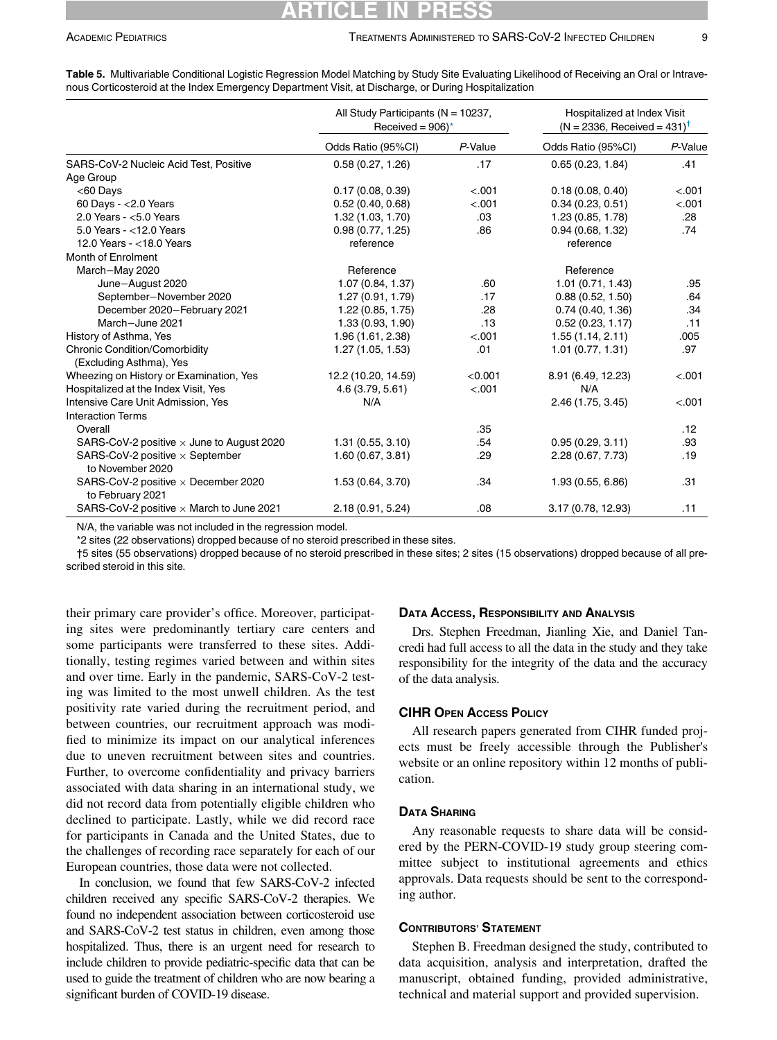### RTICLE IN

|                                                                 | All Study Participants ( $N = 10237$ ,<br>Received = $906$ <sup>*</sup> |                  |                    | Hospitalized at Index Visit<br>$(N = 2336,$ Received = 431) <sup>T</sup> |  |
|-----------------------------------------------------------------|-------------------------------------------------------------------------|------------------|--------------------|--------------------------------------------------------------------------|--|
|                                                                 | Odds Ratio (95%CI)                                                      | P-Value          | Odds Ratio (95%CI) | P-Value                                                                  |  |
| SARS-CoV-2 Nucleic Acid Test, Positive                          | 0.58(0.27, 1.26)                                                        | .17              | 0.65(0.23, 1.84)   | .41                                                                      |  |
| Age Group                                                       |                                                                         |                  |                    |                                                                          |  |
| $<$ 60 Days                                                     | 0.17(0.08, 0.39)                                                        | < .001           | 0.18(0.08, 0.40)   | < .001                                                                   |  |
| 60 Days - $<$ 2.0 Years                                         | 0.52(0.40, 0.68)                                                        | < .001           | 0.34(0.23, 0.51)   | < .001                                                                   |  |
| 2.0 Years - $<$ 5.0 Years                                       | 1.32 (1.03, 1.70)                                                       | .03 <sub>1</sub> | 1.23 (0.85, 1.78)  | .28                                                                      |  |
| 5.0 Years - $<$ 12.0 Years                                      | 0.98(0.77, 1.25)                                                        | .86              | 0.94(0.68, 1.32)   | .74                                                                      |  |
| 12.0 Years - < 18.0 Years                                       | reference                                                               |                  | reference          |                                                                          |  |
| Month of Enrolment                                              |                                                                         |                  |                    |                                                                          |  |
| March-May 2020                                                  | Reference                                                               |                  | Reference          |                                                                          |  |
| June-August 2020                                                | 1.07 (0.84, 1.37)                                                       | .60              | 1.01(0.71, 1.43)   | .95                                                                      |  |
| September-November 2020                                         | 1.27 (0.91, 1.79)                                                       | .17              | 0.88(0.52, 1.50)   | .64                                                                      |  |
| December 2020-February 2021                                     | 1.22(0.85, 1.75)                                                        | .28              | 0.74(0.40, 1.36)   | .34                                                                      |  |
| March-June 2021                                                 | 1.33(0.93, 1.90)                                                        | .13              | 0.52(0.23, 1.17)   | .11                                                                      |  |
| History of Asthma, Yes                                          | 1.96 (1.61, 2.38)                                                       | < .001           | 1.55(1.14, 2.11)   | .005                                                                     |  |
| <b>Chronic Condition/Comorbidity</b><br>(Excluding Asthma), Yes | 1.27(1.05, 1.53)                                                        | .01              | 1.01(0.77, 1.31)   | .97                                                                      |  |
| Wheezing on History or Examination, Yes                         | 12.2 (10.20, 14.59)                                                     | < 0.001          | 8.91 (6.49, 12.23) | < .001                                                                   |  |
| Hospitalized at the Index Visit, Yes                            | 4.6 (3.79, 5.61)                                                        | < .001           | N/A                |                                                                          |  |
| Intensive Care Unit Admission, Yes                              | N/A                                                                     |                  | 2.46 (1.75, 3.45)  | < .001                                                                   |  |
| <b>Interaction Terms</b>                                        |                                                                         |                  |                    |                                                                          |  |
| Overall                                                         |                                                                         | .35              |                    | .12                                                                      |  |
| SARS-CoV-2 positive x June to August 2020                       | 1.31(0.55, 3.10)                                                        | .54              | 0.95(0.29, 3.11)   | .93                                                                      |  |
| SARS-CoV-2 positive $\times$ September                          | 1.60(0.67, 3.81)                                                        | .29              | 2.28 (0.67, 7.73)  | .19                                                                      |  |
| to November 2020                                                |                                                                         |                  |                    |                                                                          |  |
| SARS-CoV-2 positive $\times$ December 2020<br>to February 2021  | 1.53 (0.64, 3.70)                                                       | .34              | 1.93 (0.55, 6.86)  | .31                                                                      |  |
| SARS-CoV-2 positive $\times$ March to June 2021                 | 2.18 (0.91, 5.24)                                                       | .08              | 3.17 (0.78, 12.93) | .11                                                                      |  |

<span id="page-8-0"></span>Table 5. Multivariable Conditional Logistic Regression Model Matching by Study Site Evaluating Likelihood of Receiving an Oral or Intravenous Corticosteroid at the Index Emergency Department Visit, at Discharge, or During Hospitalization

N/A, the variable was not included in the regression model.

\*2 sites (22 observations) dropped because of no steroid prescribed in these sites.

<span id="page-8-1"></span>†5 sites (55 observations) dropped because of no steroid prescribed in these sites; 2 sites (15 observations) dropped because of all prescribed steroid in this site.

their primary care provider's office. Moreover, participating sites were predominantly tertiary care centers and some participants were transferred to these sites. Additionally, testing regimes varied between and within sites and over time. Early in the pandemic, SARS-CoV-2 testing was limited to the most unwell children. As the test positivity rate varied during the recruitment period, and between countries, our recruitment approach was modified to minimize its impact on our analytical inferences due to uneven recruitment between sites and countries. Further, to overcome confidentiality and privacy barriers associated with data sharing in an international study, we did not record data from potentially eligible children who declined to participate. Lastly, while we did record race for participants in Canada and the United States, due to the challenges of recording race separately for each of our European countries, those data were not collected.

In conclusion, we found that few SARS-CoV-2 infected children received any specific SARS-CoV-2 therapies. We found no independent association between corticosteroid use and SARS-CoV-2 test status in children, even among those hospitalized. Thus, there is an urgent need for research to include children to provide pediatric-specific data that can be used to guide the treatment of children who are now bearing a significant burden of COVID-19 disease.

### DATA ACCESS, RESPONSIBILITY AND ANALYSIS

Drs. Stephen Freedman, Jianling Xie, and Daniel Tancredi had full access to all the data in the study and they take responsibility for the integrity of the data and the accuracy of the data analysis.

### CIHR OPEN ACCESS POLICY

All research papers generated from CIHR funded projects must be freely accessible through the Publisher's website or an online repository within 12 months of publication.

### DATA SHARING

Any reasonable requests to share data will be considered by the PERN-COVID-19 study group steering committee subject to institutional agreements and ethics approvals. Data requests should be sent to the corresponding author.

### CONTRIBUTORS' STATEMENT

Stephen B. Freedman designed the study, contributed to data acquisition, analysis and interpretation, drafted the manuscript, obtained funding, provided administrative, technical and material support and provided supervision.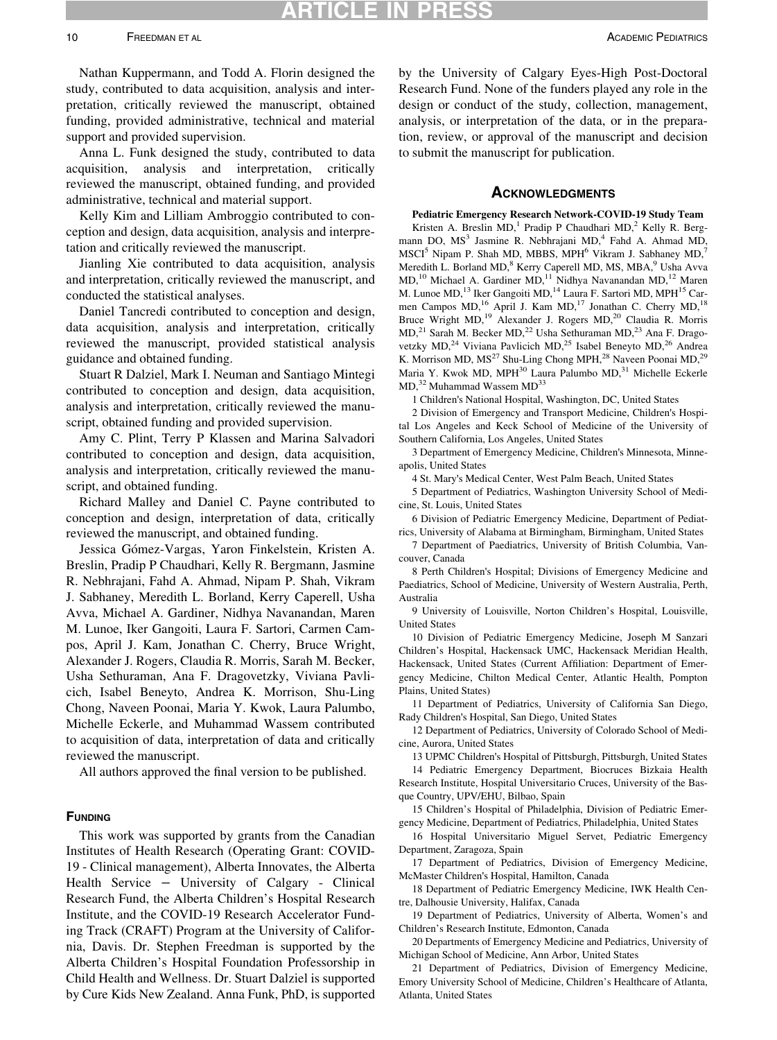## ARTICLE IN

Nathan Kuppermann, and Todd A. Florin designed the study, contributed to data acquisition, analysis and interpretation, critically reviewed the manuscript, obtained funding, provided administrative, technical and material support and provided supervision.

Anna L. Funk designed the study, contributed to data acquisition, analysis and interpretation, critically reviewed the manuscript, obtained funding, and provided administrative, technical and material support.

Kelly Kim and Lilliam Ambroggio contributed to conception and design, data acquisition, analysis and interpretation and critically reviewed the manuscript.

Jianling Xie contributed to data acquisition, analysis and interpretation, critically reviewed the manuscript, and conducted the statistical analyses.

Daniel Tancredi contributed to conception and design, data acquisition, analysis and interpretation, critically reviewed the manuscript, provided statistical analysis guidance and obtained funding.

Stuart R Dalziel, Mark I. Neuman and Santiago Mintegi contributed to conception and design, data acquisition, analysis and interpretation, critically reviewed the manuscript, obtained funding and provided supervision.

Amy C. Plint, Terry P Klassen and Marina Salvadori contributed to conception and design, data acquisition, analysis and interpretation, critically reviewed the manuscript, and obtained funding.

Richard Malley and Daniel C. Payne contributed to conception and design, interpretation of data, critically reviewed the manuscript, and obtained funding.

Jessica Gomez-Vargas, Yaron Finkelstein, Kristen A. Breslin, Pradip P Chaudhari, Kelly R. Bergmann, Jasmine R. Nebhrajani, Fahd A. Ahmad, Nipam P. Shah, Vikram J. Sabhaney, Meredith L. Borland, Kerry Caperell, Usha Avva, Michael A. Gardiner, Nidhya Navanandan, Maren M. Lunoe, Iker Gangoiti, Laura F. Sartori, Carmen Campos, April J. Kam, Jonathan C. Cherry, Bruce Wright, Alexander J. Rogers, Claudia R. Morris, Sarah M. Becker, Usha Sethuraman, Ana F. Dragovetzky, Viviana Pavlicich, Isabel Beneyto, Andrea K. Morrison, Shu-Ling Chong, Naveen Poonai, Maria Y. Kwok, Laura Palumbo, Michelle Eckerle, and Muhammad Wassem contributed to acquisition of data, interpretation of data and critically reviewed the manuscript.

All authors approved the final version to be published.

### **FUNDING**

This work was supported by grants from the Canadian Institutes of Health Research (Operating Grant: COVID-19 - Clinical management), Alberta Innovates, the Alberta Health Service − University of Calgary - Clinical Research Fund, the Alberta Children's Hospital Research Institute, and the COVID-19 Research Accelerator Funding Track (CRAFT) Program at the University of California, Davis. Dr. Stephen Freedman is supported by the Alberta Children's Hospital Foundation Professorship in Child Health and Wellness. Dr. Stuart Dalziel is supported by Cure Kids New Zealand. Anna Funk, PhD, is supported

by the University of Calgary Eyes-High Post-Doctoral Research Fund. None of the funders played any role in the design or conduct of the study, collection, management, analysis, or interpretation of the data, or in the preparation, review, or approval of the manuscript and decision to submit the manuscript for publication.

#### **ACKNOWLEDGMENTS**

Pediatric Emergency Research Network-COVID-19 Study Team

Kristen A. Breslin  $MD$ ,<sup>1</sup> Pradip P Chaudhari  $MD$ ,<sup>2</sup> Kelly R. Bergmann DO, MS<sup>3</sup> Jasmine R. Nebhrajani MD,<sup>4</sup> Fahd A. Ahmad MD,  $MSCI<sup>5</sup> Nipam P. Shah MD, MBBS,  $MPH<sup>6</sup> Vikram J. Sabhaney  $MD$ ,<sup>7</sup>$$ Meredith L. Borland MD,<sup>8</sup> Kerry Caperell MD, MS, MBA,<sup>9</sup> Usha Avva MD,<sup>10</sup> Michael A. Gardiner MD,<sup>11</sup> Nidhya Navanandan MD,<sup>12</sup> Maren M. Lunoe MD,<sup>13</sup> Iker Gangoiti MD,<sup>14</sup> Laura F. Sartori MD, MPH<sup>15</sup> Carmen Campos MD,<sup>16</sup> April J. Kam MD,<sup>17</sup> Jonathan C. Cherry MD,<sup>18</sup> Bruce Wright MD,<sup>19</sup> Alexander J. Rogers MD,<sup>20</sup> Claudia R. Morris MD,<sup>21</sup> Sarah M. Becker MD,<sup>22</sup> Usha Sethuraman MD,<sup>23</sup> Ana F. Dragovetzky MD,<sup>24</sup> Viviana Pavlicich MD,<sup>25</sup> Isabel Beneyto MD,<sup>26</sup> Andrea K. Morrison MD, MS<sup>27</sup> Shu-Ling Chong MPH,<sup>28</sup> Naveen Poonai MD,<sup>29</sup> Maria Y. Kwok MD, MPH<sup>30</sup> Laura Palumbo MD,<sup>31</sup> Michelle Eckerle MD,<sup>32</sup> Muhammad Wassem MD<sup>33</sup>

1 Children's National Hospital, Washington, DC, United States

2 Division of Emergency and Transport Medicine, Children's Hospital Los Angeles and Keck School of Medicine of the University of Southern California, Los Angeles, United States

3 Department of Emergency Medicine, Children's Minnesota, Minneapolis, United States

4 St. Mary's Medical Center, West Palm Beach, United States

5 Department of Pediatrics, Washington University School of Medicine, St. Louis, United States

6 Division of Pediatric Emergency Medicine, Department of Pediatrics, University of Alabama at Birmingham, Birmingham, United States

7 Department of Paediatrics, University of British Columbia, Vancouver, Canada

8 Perth Children's Hospital; Divisions of Emergency Medicine and Paediatrics, School of Medicine, University of Western Australia, Perth, Australia

9 University of Louisville, Norton Children's Hospital, Louisville, United States

10 Division of Pediatric Emergency Medicine, Joseph M Sanzari Children's Hospital, Hackensack UMC, Hackensack Meridian Health, Hackensack, United States (Current Affiliation: Department of Emergency Medicine, Chilton Medical Center, Atlantic Health, Pompton Plains, United States)

11 Department of Pediatrics, University of California San Diego, Rady Children's Hospital, San Diego, United States

12 Department of Pediatrics, University of Colorado School of Medicine, Aurora, United States

13 UPMC Children's Hospital of Pittsburgh, Pittsburgh, United States

14 Pediatric Emergency Department, Biocruces Bizkaia Health Research Institute, Hospital Universitario Cruces, University of the Basque Country, UPV/EHU, Bilbao, Spain

15 Children's Hospital of Philadelphia, Division of Pediatric Emergency Medicine, Department of Pediatrics, Philadelphia, United States

16 Hospital Universitario Miguel Servet, Pediatric Emergency Department, Zaragoza, Spain

17 Department of Pediatrics, Division of Emergency Medicine, McMaster Children's Hospital, Hamilton, Canada

18 Department of Pediatric Emergency Medicine, IWK Health Centre, Dalhousie University, Halifax, Canada

19 Department of Pediatrics, University of Alberta, Women's and Children's Research Institute, Edmonton, Canada

20 Departments of Emergency Medicine and Pediatrics, University of Michigan School of Medicine, Ann Arbor, United States

21 Department of Pediatrics, Division of Emergency Medicine, Emory University School of Medicine, Children's Healthcare of Atlanta, Atlanta, United States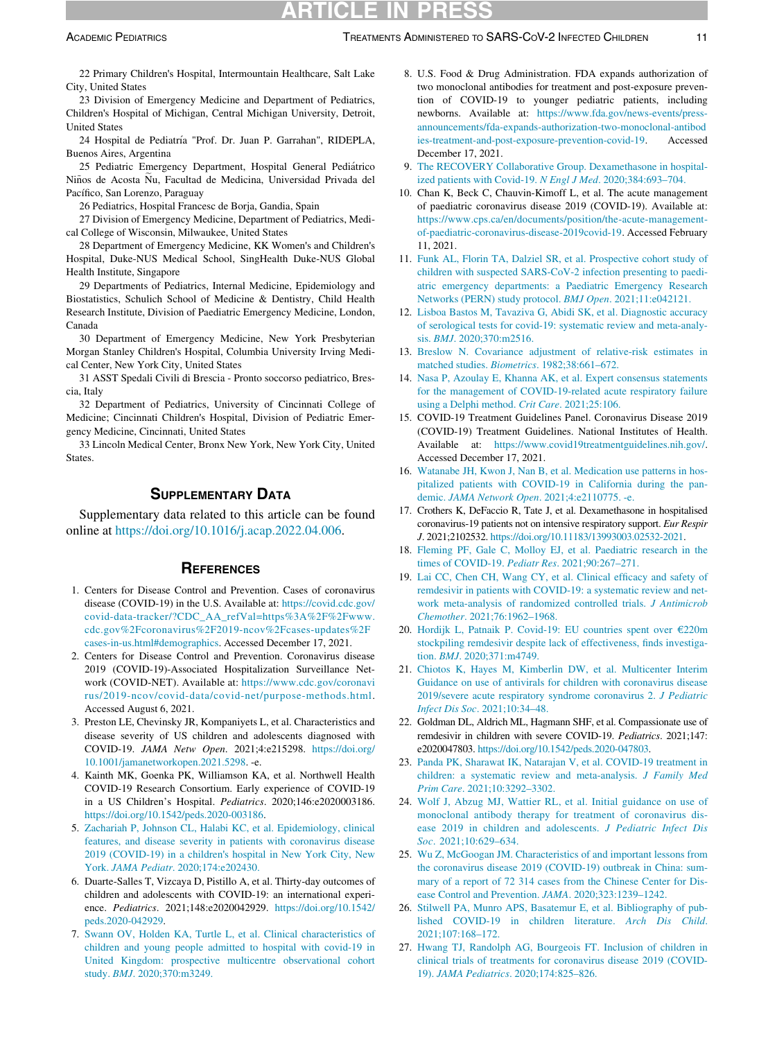<span id="page-10-7"></span>22 Primary Children's Hospital, Intermountain Healthcare, Salt Lake City, United States

23 Division of Emergency Medicine and Department of Pediatrics, Children's Hospital of Michigan, Central Michigan University, Detroit, United States

24 Hospital de Pediatría "Prof. Dr. Juan P. Garrahan", RIDEPLA, Buenos Aires, Argentina

<span id="page-10-9"></span><span id="page-10-8"></span>25 Pediatric Emergency Department, Hospital General Pediatrico Niños de Acosta Ñu, Facultad de Medicina, Universidad Privada del Pacífico, San Lorenzo, Paraguay

26 Pediatrics, Hospital Francesc de Borja, Gandia, Spain

27 Division of Emergency Medicine, Department of Pediatrics, Medical College of Wisconsin, Milwaukee, United States

<span id="page-10-10"></span>28 Department of Emergency Medicine, KK Women's and Children's Hospital, Duke-NUS Medical School, SingHealth Duke-NUS Global Health Institute, Singapore

<span id="page-10-11"></span>29 Departments of Pediatrics, Internal Medicine, Epidemiology and Biostatistics, Schulich School of Medicine & Dentistry, Child Health Research Institute, Division of Paediatric Emergency Medicine, London, Canada

<span id="page-10-13"></span>30 Department of Emergency Medicine, New York Presbyterian Morgan Stanley Children's Hospital, Columbia University Irving Medical Center, New York City, United States

<span id="page-10-14"></span>31 ASST Spedali Civili di Brescia - Pronto soccorso pediatrico, Brescia, Italy

<span id="page-10-15"></span>32 Department of Pediatrics, University of Cincinnati College of Medicine; Cincinnati Children's Hospital, Division of Pediatric Emergency Medicine, Cincinnati, United States

<span id="page-10-16"></span>33 Lincoln Medical Center, Bronx New York, New York City, United **States**.

### SUPPLEMENTARY DATA

<span id="page-10-18"></span><span id="page-10-17"></span><span id="page-10-12"></span>Supplementary data related to this article can be found online at <https://doi.org/10.1016/j.acap.2022.04.006>.

### **REFERENCES**

- <span id="page-10-19"></span><span id="page-10-0"></span>1. Centers for Disease Control and Prevention. Cases of coronavirus disease (COVID-19) in the U.S. Available at: [https://covid.cdc.gov/](https://covid.cdc.gov/covid-data-tracker/?CDC_AA_refVal=https%3A%2F%2Fwww.cdc.gov%2Fcoronavirus%2F2019-ncov%2Fcases-updates%2Fcases-in-us.html#demographics) [covid-data-tracker/?CDC\\_AA\\_refVal=https%3A%2F%2Fwww.](https://covid.cdc.gov/covid-data-tracker/?CDC_AA_refVal=https%3A%2F%2Fwww.cdc.gov%2Fcoronavirus%2F2019-ncov%2Fcases-updates%2Fcases-in-us.html#demographics) [cdc.gov%2Fcoronavirus%2F2019-ncov](https://covid.cdc.gov/covid-data-tracker/?CDC_AA_refVal=https%3A%2F%2Fwww.cdc.gov%2Fcoronavirus%2F2019-ncov%2Fcases-updates%2Fcases-in-us.html#demographics)%[2Fcases-updates%2F](https://covid.cdc.gov/covid-data-tracker/?CDC_AA_refVal=https%3A%2F%2Fwww.cdc.gov%2Fcoronavirus%2F2019-ncov%2Fcases-updates%2Fcases-in-us.html#demographics) [cases-in-us.html#demographics.](https://covid.cdc.gov/covid-data-tracker/?CDC_AA_refVal=https%3A%2F%2Fwww.cdc.gov%2Fcoronavirus%2F2019-ncov%2Fcases-updates%2Fcases-in-us.html#demographics) Accessed December 17, 2021.
- <span id="page-10-21"></span><span id="page-10-20"></span><span id="page-10-1"></span>2. Centers for Disease Control and Prevention. Coronavirus disease 2019 (COVID-19)-Associated Hospitalization Surveillance Network (COVID-NET). Available at: [https://www.cdc.gov/coronavi](https://www.cdc.gov/coronavirus/2019-ncov/covid-data/covid-net/purpose-methods.html) [rus/2019-ncov/covid-data/covid-net/purpose-methods.html](https://www.cdc.gov/coronavirus/2019-ncov/covid-data/covid-net/purpose-methods.html). Accessed August 6, 2021.
- <span id="page-10-22"></span><span id="page-10-2"></span>3. Preston LE, Chevinsky JR, Kompaniyets L, et al. Characteristics and disease severity of US children and adolescents diagnosed with COVID-19. JAMA Netw Open. 2021;4:e215298. [https://doi.org/](https://doi.org/10.1001/jamanetworkopen.2021.5298) [10.1001/jamanetworkopen.2021.5298](https://doi.org/10.1001/jamanetworkopen.2021.5298). -e.
- <span id="page-10-24"></span><span id="page-10-23"></span><span id="page-10-3"></span>4. Kainth MK, Goenka PK, Williamson KA, et al. Northwell Health COVID-19 Research Consortium. Early experience of COVID-19 in a US Children's Hospital. Pediatrics. 2020;146:e2020003186. <https://doi.org/10.1542/peds.2020-003186>.
- <span id="page-10-25"></span><span id="page-10-4"></span>5. [Zachariah P, Johnson CL, Halabi KC, et al. Epidemiology, clinical](http://refhub.elsevier.com/S1876-2859(22)00234-0/sbref0005) [features, and disease severity in patients with coronavirus disease](http://refhub.elsevier.com/S1876-2859(22)00234-0/sbref0005) 2019 (COVID-19) in a children'[s hospital in New York City, New](http://refhub.elsevier.com/S1876-2859(22)00234-0/sbref0005) York. JAMA Pediatr[. 2020;174:e202430.](http://refhub.elsevier.com/S1876-2859(22)00234-0/sbref0005)
- <span id="page-10-26"></span><span id="page-10-5"></span>6. Duarte-Salles T, Vizcaya D, Pistillo A, et al. Thirty-day outcomes of children and adolescents with COVID-19: an international experience. Pediatrics. 2021;148:e2020042929. [https://doi.org/10.1542/](https://doi.org/10.1542/peds.2020-042929) [peds.2020-042929.](https://doi.org/10.1542/peds.2020-042929)
- <span id="page-10-27"></span><span id="page-10-6"></span>7. [Swann OV, Holden KA, Turtle L, et al. Clinical characteristics of](http://refhub.elsevier.com/S1876-2859(22)00234-0/sbref0007) [children and young people admitted to hospital with covid-19 in](http://refhub.elsevier.com/S1876-2859(22)00234-0/sbref0007) [United Kingdom: prospective multicentre observational cohort](http://refhub.elsevier.com/S1876-2859(22)00234-0/sbref0007) study. BMJ[. 2020;370:m3249.](http://refhub.elsevier.com/S1876-2859(22)00234-0/sbref0007)
- 8. U.S. Food & Drug Administration. FDA expands authorization of two monoclonal antibodies for treatment and post-exposure prevention of COVID-19 to younger pediatric patients, including newborns. Available at: [https://www.fda.gov/news-events/press](https://www.fda.gov/news-events/press-announcements/fda-expands-authorization-two-monoclonal-antibodies-treatment-and-post-exposure-prevention-covid-19)[announcements/fda-expands-authorization-two-monoclonal-antibod](https://www.fda.gov/news-events/press-announcements/fda-expands-authorization-two-monoclonal-antibodies-treatment-and-post-exposure-prevention-covid-19) [ies-treatment-and-post-exposure-prevention-covid-19.](https://www.fda.gov/news-events/press-announcements/fda-expands-authorization-two-monoclonal-antibodies-treatment-and-post-exposure-prevention-covid-19) Accessed December 17, 2021.
- 9. [The RECOVERY Collaborative Group. Dexamethasone in hospital](http://refhub.elsevier.com/S1876-2859(22)00234-0/sbref0009)[ized patients with Covid-19.](http://refhub.elsevier.com/S1876-2859(22)00234-0/sbref0009) N Engl J Med. 2020;384:693–704.
- 10. Chan K, Beck C, Chauvin-Kimoff L, et al. The acute management of paediatric coronavirus disease 2019 (COVID-19). Available at: [https://www.cps.ca/en/documents/position/the-acute-management](https://www.cps.ca/en/documents/position/the-acute-management-of-paediatric-coronavirus-disease-2019covid-19)[of-paediatric-coronavirus-disease-2019covid-19](https://www.cps.ca/en/documents/position/the-acute-management-of-paediatric-coronavirus-disease-2019covid-19). Accessed February 11, 2021.
- 11. [Funk AL, Florin TA, Dalziel SR, et al. Prospective cohort study of](http://refhub.elsevier.com/S1876-2859(22)00234-0/sbref0011) [children with suspected SARS-CoV-2 infection presenting to paedi](http://refhub.elsevier.com/S1876-2859(22)00234-0/sbref0011)[atric emergency departments: a Paediatric Emergency Research](http://refhub.elsevier.com/S1876-2859(22)00234-0/sbref0011) [Networks \(PERN\) study protocol.](http://refhub.elsevier.com/S1876-2859(22)00234-0/sbref0011) BMJ Open. 2021;11:e042121.
- 12. [Lisboa Bastos M, Tavaziva G, Abidi SK, et al. Diagnostic accuracy](http://refhub.elsevier.com/S1876-2859(22)00234-0/sbref0012) [of serological tests for covid-19: systematic review and meta-analy](http://refhub.elsevier.com/S1876-2859(22)00234-0/sbref0012)sis. BMJ[. 2020;370:m2516.](http://refhub.elsevier.com/S1876-2859(22)00234-0/sbref0012)
- 13. [Breslow N. Covariance adjustment of relative-risk estimates in](http://refhub.elsevier.com/S1876-2859(22)00234-0/sbref0013) matched studies. Biometrics[. 1982;38:661–672.](http://refhub.elsevier.com/S1876-2859(22)00234-0/sbref0013)
- 14. [Nasa P, Azoulay E, Khanna AK, et al. Expert consensus statements](http://refhub.elsevier.com/S1876-2859(22)00234-0/sbref0014) [for the management of COVID-19-related acute respiratory failure](http://refhub.elsevier.com/S1876-2859(22)00234-0/sbref0014) [using a Delphi method.](http://refhub.elsevier.com/S1876-2859(22)00234-0/sbref0014) Crit Care. 2021;25:106.
- 15. COVID-19 Treatment Guidelines Panel. Coronavirus Disease 2019 (COVID-19) Treatment Guidelines. National Institutes of Health. Available at: [https://www.covid19treatmentguidelines.nih.gov/.](https://www.covid19treatmentguidelines.nih.gov/) Accessed December 17, 2021.
- 16. [Watanabe JH, Kwon J, Nan B, et al. Medication use patterns in hos](http://refhub.elsevier.com/S1876-2859(22)00234-0/sbref0016)[pitalized patients with COVID-19 in California during the pan](http://refhub.elsevier.com/S1876-2859(22)00234-0/sbref0016)demic. JAMA Network Open[. 2021;4:e2110775. -e.](http://refhub.elsevier.com/S1876-2859(22)00234-0/sbref0016)
- 17. Crothers K, DeFaccio R, Tate J, et al. Dexamethasone in hospitalised coronavirus-19 patients not on intensive respiratory support. Eur Respir J. 2021;2102532. [https://doi.org/10.11183/13993003.02532-2021.](https://doi.org/10.11183/13993003.02532-2021)
- 18. [Fleming PF, Gale C, Molloy EJ, et al. Paediatric research in the](http://refhub.elsevier.com/S1876-2859(22)00234-0/sbref0018) [times of COVID-19.](http://refhub.elsevier.com/S1876-2859(22)00234-0/sbref0018) Pediatr Res. 2021;90:267–271.
- 19. [Lai CC, Chen CH, Wang CY, et al. Clinical efficacy and safety of](http://refhub.elsevier.com/S1876-2859(22)00234-0/sbref0019) [remdesivir in patients with COVID-19: a systematic review and net](http://refhub.elsevier.com/S1876-2859(22)00234-0/sbref0019)[work meta-analysis of randomized controlled trials.](http://refhub.elsevier.com/S1876-2859(22)00234-0/sbref0019) J Antimicrob Chemother[. 2021;76:1962–1968.](http://refhub.elsevier.com/S1876-2859(22)00234-0/sbref0019)
- 20. [Hordijk L, Patnaik P. Covid-19: EU countries spent over](http://refhub.elsevier.com/S1876-2859(22)00234-0/sbref0020) €220m [stockpiling remdesivir despite lack of effectiveness, finds investiga](http://refhub.elsevier.com/S1876-2859(22)00234-0/sbref0020)tion. BMJ[. 2020;371:m4749.](http://refhub.elsevier.com/S1876-2859(22)00234-0/sbref0020)
- 21. [Chiotos K, Hayes M, Kimberlin DW, et al. Multicenter Interim](http://refhub.elsevier.com/S1876-2859(22)00234-0/sbref0021) [Guidance on use of antivirals for children with coronavirus disease](http://refhub.elsevier.com/S1876-2859(22)00234-0/sbref0021) [2019/severe acute respiratory syndrome coronavirus 2.](http://refhub.elsevier.com/S1876-2859(22)00234-0/sbref0021) J Pediatric Infect Dis Soc[. 2021;10:34–48.](http://refhub.elsevier.com/S1876-2859(22)00234-0/sbref0021)
- 22. Goldman DL, Aldrich ML, Hagmann SHF, et al. Compassionate use of remdesivir in children with severe COVID-19. Pediatrics. 2021;147: e2020047803. <https://doi.org/10.1542/peds.2020-047803>.
- 23. [Panda PK, Sharawat IK, Natarajan V, et al. COVID-19 treatment in](http://refhub.elsevier.com/S1876-2859(22)00234-0/sbref0023) [children: a systematic review and meta-analysis.](http://refhub.elsevier.com/S1876-2859(22)00234-0/sbref0023) J Family Med Prim Care[. 2021;10:3292–3302.](http://refhub.elsevier.com/S1876-2859(22)00234-0/sbref0023)
- 24. [Wolf J, Abzug MJ, Wattier RL, et al. Initial guidance on use of](http://refhub.elsevier.com/S1876-2859(22)00234-0/sbref0024) [monoclonal antibody therapy for treatment of coronavirus dis](http://refhub.elsevier.com/S1876-2859(22)00234-0/sbref0024)[ease 2019 in children and adolescents.](http://refhub.elsevier.com/S1876-2859(22)00234-0/sbref0024) J Pediatric Infect Dis Soc[. 2021;10:629–634.](http://refhub.elsevier.com/S1876-2859(22)00234-0/sbref0024)
- 25. [Wu Z, McGoogan JM. Characteristics of and important lessons from](http://refhub.elsevier.com/S1876-2859(22)00234-0/sbref0025) [the coronavirus disease 2019 \(COVID-19\) outbreak in China: sum](http://refhub.elsevier.com/S1876-2859(22)00234-0/sbref0025)[mary of a report of 72 314 cases from the Chinese Center for Dis](http://refhub.elsevier.com/S1876-2859(22)00234-0/sbref0025)[ease Control and Prevention.](http://refhub.elsevier.com/S1876-2859(22)00234-0/sbref0025) JAMA. 2020;323:1239–1242.
- 26. [Stilwell PA, Munro APS, Basatemur E, et al. Bibliography of pub](http://refhub.elsevier.com/S1876-2859(22)00234-0/sbref0026)[lished COVID-19 in children literature.](http://refhub.elsevier.com/S1876-2859(22)00234-0/sbref0026) Arch Dis Child. [2021;107:168–172.](http://refhub.elsevier.com/S1876-2859(22)00234-0/sbref0026)
- 27. [Hwang TJ, Randolph AG, Bourgeois FT. Inclusion of children in](http://refhub.elsevier.com/S1876-2859(22)00234-0/sbref0027) [clinical trials of treatments for coronavirus disease 2019 \(COVID-](http://refhub.elsevier.com/S1876-2859(22)00234-0/sbref0027)19). JAMA Pediatrics[. 2020;174:825–826.](http://refhub.elsevier.com/S1876-2859(22)00234-0/sbref0027)